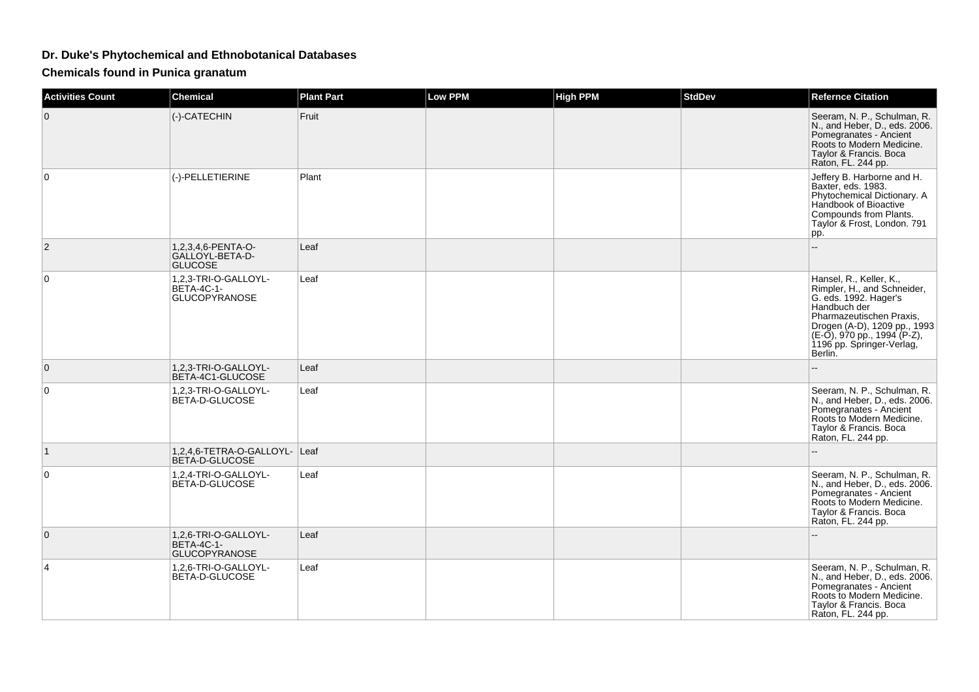## **Dr. Duke's Phytochemical and Ethnobotanical Databases**

**Chemicals found in Punica granatum**

| <b>Activities Count</b> | <b>Chemical</b>                                                   | <b>Plant Part</b> | <b>Low PPM</b> | <b>High PPM</b> | <b>StdDev</b> | <b>Refernce Citation</b>                                                                                                                                                                                                              |
|-------------------------|-------------------------------------------------------------------|-------------------|----------------|-----------------|---------------|---------------------------------------------------------------------------------------------------------------------------------------------------------------------------------------------------------------------------------------|
| 0                       | (-)-CATECHIN                                                      | Fruit             |                |                 |               | Seeram, N. P., Schulman, R.<br>N., and Heber, D., eds. 2006.<br>Pomegranates - Ancient<br>Roots to Modern Medicine.<br>Taylor & Francis. Boca<br>Raton, FL. 244 pp.                                                                   |
| $\Omega$                | (-)-PELLETIERINE                                                  | Plant             |                |                 |               | Jeffery B. Harborne and H.<br>Baxter, eds. 1983.<br>Phytochemical Dictionary. A<br>Handbook of Bioactive<br>Compounds from Plants.<br>Taylor & Frost, London. 791<br>pp.                                                              |
| $\overline{2}$          | 1,2,3,4,6-PENTA-O-<br>GALLOYL-BETA-D-<br><b>GLUCOSE</b>           | Leaf              |                |                 |               |                                                                                                                                                                                                                                       |
| 0                       | 1,2,3-TRI-O-GALLOYL-<br><b>BETA-4C-1-</b><br>GLUCOPYRANOSE        | Leaf              |                |                 |               | Hansel, R., Keller, K.,<br>Rimpler, H., and Schneider,<br>G. eds. 1992. Hager's<br>Handbuch der<br>Pharmazeutischen Praxis,<br>Drogen (A-D), 1209 pp., 1993<br>$(E-0)$ , 970 pp., 1994 (P-Z),<br>1196 pp. Springer-Verlag,<br>Berlin. |
| $\mathbf{0}$            | 1,2,3-TRI-O-GALLOYL-<br>BETA-4C1-GLUCOSE                          | Leaf              |                |                 |               |                                                                                                                                                                                                                                       |
| 0                       | 1,2,3-TRI-O-GALLOYL-<br>BETA-D-GLUCOSE                            | Leaf              |                |                 |               | Seeram, N. P., Schulman, R.<br>N., and Heber, D., eds. 2006.<br>Pomegranates - Ancient<br>Roots to Modern Medicine.<br>Taylor & Francis. Boca<br>Raton, FL. 244 pp.                                                                   |
| $\mathbf{1}$            | 1,2,4,6-TETRA-O-GALLOYL- Leaf<br>BETA-D-GLUCOSE                   |                   |                |                 |               |                                                                                                                                                                                                                                       |
| 0                       | 1,2,4-TRI-O-GALLOYL-<br>BETA-D-GLUCOSE                            | Leaf              |                |                 |               | Seeram, N. P., Schulman, R.<br>N., and Heber, D., eds. 2006.<br>Pomegranates - Ancient<br>Roots to Modern Medicine.<br>Taylor & Francis. Boca<br>Raton, FL. 244 pp.                                                                   |
| $\Omega$                | 1,2,6-TRI-O-GALLOYL-<br><b>BETA-4C-1-</b><br><b>GLUCOPYRANOSE</b> | Leaf              |                |                 |               |                                                                                                                                                                                                                                       |
| 4                       | 1,2,6-TRI-O-GALLOYL-<br>BETA-D-GLUCOSE                            | Leaf              |                |                 |               | Seeram, N. P., Schulman, R.<br>N., and Heber, D., eds. 2006.<br>Pomegranates - Ancient<br>Roots to Modern Medicine.<br>Taylor & Francis. Boca<br>Raton, FL. 244 pp.                                                                   |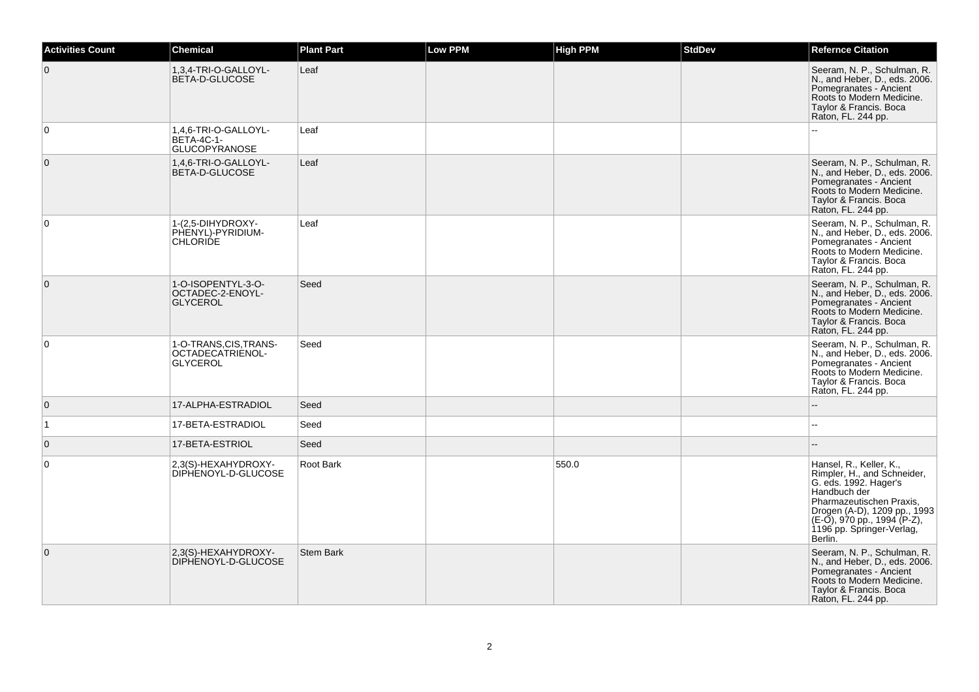| <b>Activities Count</b> | Chemical                                                          | <b>Plant Part</b> | <b>Low PPM</b> | <b>High PPM</b> | <b>StdDev</b> | <b>Refernce Citation</b>                                                                                                                                                                                                           |
|-------------------------|-------------------------------------------------------------------|-------------------|----------------|-----------------|---------------|------------------------------------------------------------------------------------------------------------------------------------------------------------------------------------------------------------------------------------|
| $\mathbf 0$             | 1,3,4-TRI-O-GALLOYL-<br>BETA-D-GLUCOSE                            | Leaf              |                |                 |               | Seeram, N. P., Schulman, R.<br>N., and Heber, D., eds. 2006.<br>Pomegranates - Ancient<br>Roots to Modern Medicine.<br>Taylor & Francis. Boca<br>Raton, FL. 244 pp.                                                                |
| $\mathbf 0$             | 1.4.6-TRI-O-GALLOYL-<br><b>BETA-4C-1-</b><br><b>GLUCOPYRANOSE</b> | Leaf              |                |                 |               | шш.                                                                                                                                                                                                                                |
| $\mathbf{0}$            | 1,4,6-TRI-O-GALLOYL-<br>BETA-D-GLUCOSE                            | Leaf              |                |                 |               | Seeram, N. P., Schulman, R.<br>N., and Heber, D., eds. 2006.<br>Pomegranates - Ancient<br>Roots to Modern Medicine.<br>Taylor & Francis. Boca<br>Raton, FL. 244 pp.                                                                |
| $\mathbf 0$             | 1-(2,5-DIHYDROXY-<br>PHENYL)-PYRIDIUM-<br><b>CHLORIDE</b>         | Leaf              |                |                 |               | Seeram, N. P., Schulman, R.<br>N., and Heber, D., eds. 2006.<br>Pomegranates - Ancient<br>Roots to Modern Medicine.<br>Taylor & Francis. Boca<br>Raton, FL. 244 pp.                                                                |
| $\mathbf 0$             | 1-O-ISOPENTYL-3-O-<br>OCTADEC-2-ENOYL-<br><b>GLYCEROL</b>         | Seed              |                |                 |               | Seeram, N. P., Schulman, R.<br>N., and Heber, D., eds. 2006.<br>Pomegranates - Ancient<br>Roots to Modern Medicine.<br>Taylor & Francis. Boca<br>Raton, FL. 244 pp.                                                                |
| 0                       | 1-O-TRANS, CIS, TRANS-<br>OCTADECATRIENOL-<br><b>GLYCEROL</b>     | Seed              |                |                 |               | Seeram, N. P., Schulman, R.<br>N., and Heber, D., eds. 2006.<br>Pomegranates - Ancient<br>Roots to Modern Medicine.<br>Taylor & Francis. Boca<br>Raton, FL. 244 pp.                                                                |
| $\mathbf 0$             | 17-ALPHA-ESTRADIOL                                                | Seed              |                |                 |               | $\overline{\phantom{a}}$                                                                                                                                                                                                           |
| $\vert$ 1               | 17-BETA-ESTRADIOL                                                 | Seed              |                |                 |               |                                                                                                                                                                                                                                    |
| $\mathbf 0$             | 17-BETA-ESTRIOL                                                   | Seed              |                |                 |               |                                                                                                                                                                                                                                    |
| $\mathbf 0$             | 2,3(S)-HEXAHYDROXY-<br>DIPHENOYL-D-GLUCOSE                        | Root Bark         |                | 550.0           |               | Hansel, R., Keller, K.,<br>Rimpler, H., and Schneider,<br>G. eds. 1992. Hager's<br>Handbuch der<br>Pharmazeutischen Praxis,<br>Drogen (A-D), 1209 pp., 1993<br>(E-O), 970 pp., 1994 (P-Z),<br>1196 pp. Springer-Verlag,<br>Berlin. |
| $\mathbf{0}$            | 2,3(S)-HEXAHYDROXY-<br>DIPHENOYL-D-GLUCOSE                        | <b>Stem Bark</b>  |                |                 |               | Seeram, N. P., Schulman, R.<br>N., and Heber, D., eds. 2006.<br>Pomegranates - Ancient<br>Roots to Modern Medicine.<br>Taylor & Francis. Boca<br>Raton, FL. 244 pp.                                                                |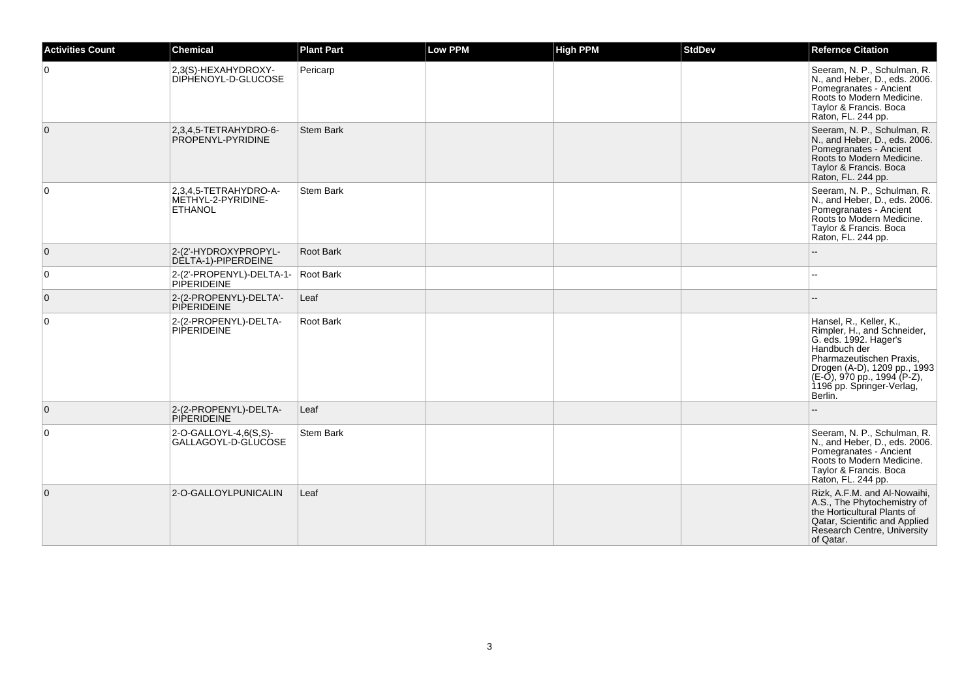| <b>Activities Count</b> | Chemical                                                      | <b>Plant Part</b> | <b>Low PPM</b> | <b>High PPM</b> | <b>StdDev</b> | <b>Refernce Citation</b>                                                                                                                                                                                                           |
|-------------------------|---------------------------------------------------------------|-------------------|----------------|-----------------|---------------|------------------------------------------------------------------------------------------------------------------------------------------------------------------------------------------------------------------------------------|
| $\mathbf 0$             | 2,3(S)-HEXAHYDROXY-<br>DIPHENOYL-D-GLUCOSE                    | Pericarp          |                |                 |               | Seeram, N. P., Schulman, R.<br>N., and Heber, D., eds. 2006.<br>Pomegranates - Ancient<br>Roots to Modern Medicine.<br>Taylor & Francis. Boca<br>Raton, FL. 244 pp.                                                                |
| $\mathbf{0}$            | 2,3,4,5-TETRAHYDRO-6-<br>PROPENYL-PYRIDINE                    | <b>Stem Bark</b>  |                |                 |               | Seeram, N. P., Schulman, R.<br>N., and Heber, D., eds. 2006.<br>Pomegranates - Ancient<br>Roots to Modern Medicine.<br>Taylor & Francis. Boca<br>Raton, FL. 244 pp.                                                                |
| $\mathbf 0$             | 2,3,4,5-TETRAHYDRO-A-<br>METHYL-2-PYRIDINE-<br><b>ETHANOL</b> | <b>Stem Bark</b>  |                |                 |               | Seeram, N. P., Schulman, R.<br>N., and Heber, D., eds. 2006.<br>Pomegranates - Ancient<br>Roots to Modern Medicine.<br>Taylor & Francis. Boca<br>Raton, FL. 244 pp.                                                                |
| $\mathbf 0$             | 2-(2'-HYDROXYPROPYL-<br>DELTA-1)-PIPERDEINE                   | Root Bark         |                |                 |               |                                                                                                                                                                                                                                    |
| 0                       | 2-(2'-PROPENYL)-DELTA-1-<br><b>PIPERIDEINE</b>                | Root Bark         |                |                 |               |                                                                                                                                                                                                                                    |
| $\mathbf{0}$            | 2-(2-PROPENYL)-DELTA'-<br><b>PIPERIDEINE</b>                  | Leaf              |                |                 |               |                                                                                                                                                                                                                                    |
| $\mathbf 0$             | 2-(2-PROPENYL)-DELTA-<br><b>PIPERIDEINE</b>                   | Root Bark         |                |                 |               | Hansel, R., Keller, K.,<br>Rimpler, H., and Schneider,<br>G. eds. 1992. Hager's<br>Handbuch der<br>Pharmazeutischen Praxis,<br>Drogen (A-D), 1209 pp., 1993<br>(E-O), 970 pp., 1994 (P-Z),<br>1196 pp. Springer-Verlag,<br>Berlin. |
| $\mathbf 0$             | 2-(2-PROPENYL)-DELTA-<br><b>PIPERIDEINE</b>                   | Leaf              |                |                 |               |                                                                                                                                                                                                                                    |
| 0                       | 2-O-GALLOYL-4,6(S,S)-<br>GALLAGOYL-D-GLUCOSE                  | <b>Stem Bark</b>  |                |                 |               | Seeram, N. P., Schulman, R.<br>N., and Heber, D., eds. 2006.<br>Pomegranates - Ancient<br>Roots to Modern Medicine.<br>Taylor & Francis. Boca<br>Raton, FL. 244 pp.                                                                |
| $\Omega$                | 2-O-GALLOYLPUNICALIN                                          | Leaf              |                |                 |               | Rizk, A.F.M. and Al-Nowaihi,<br>A.S., The Phytochemistry of<br>the Horticultural Plants of<br>Qatar, Scientific and Applied<br>Research Centre, University<br>of Qatar.                                                            |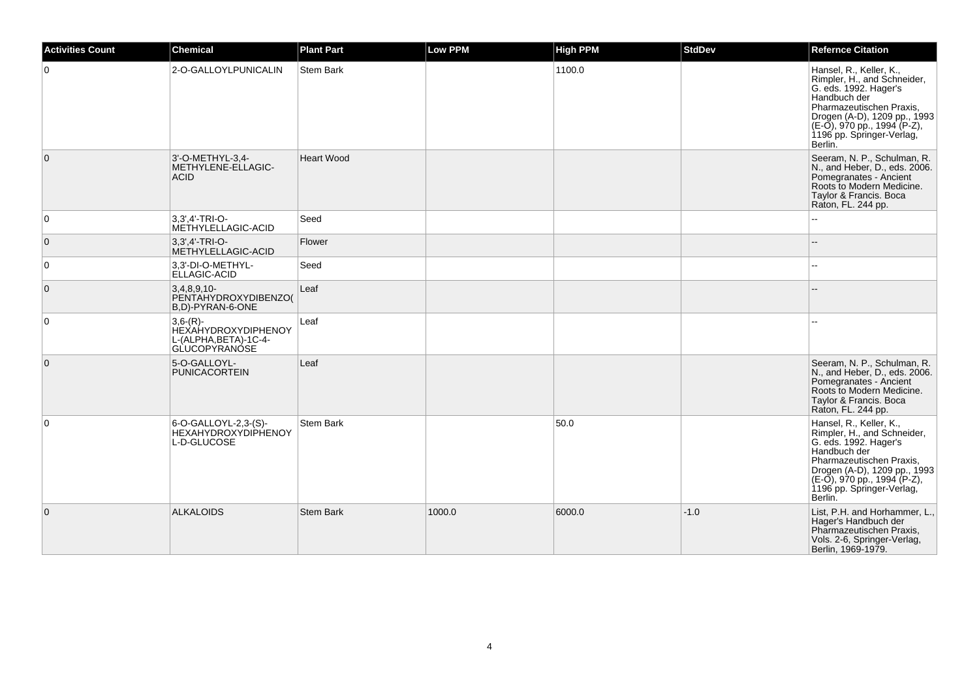| <b>Activities Count</b> | <b>Chemical</b>                                                                           | <b>Plant Part</b> | <b>Low PPM</b> | <b>High PPM</b> | <b>StdDev</b> | <b>Refernce Citation</b>                                                                                                                                                                                                              |
|-------------------------|-------------------------------------------------------------------------------------------|-------------------|----------------|-----------------|---------------|---------------------------------------------------------------------------------------------------------------------------------------------------------------------------------------------------------------------------------------|
| $\Omega$                | 2-O-GALLOYLPUNICALIN                                                                      | <b>Stem Bark</b>  |                | 1100.0          |               | Hansel, R., Keller, K.,<br>Rimpler, H., and Schneider,<br>G. eds. 1992. Hager's<br>Handbuch der<br>Pharmazeutischen Praxis,<br>Drogen (A-D), 1209 pp., 1993<br>(E-O), 970 pp., 1994 (P-Z),<br>1196 pp. Springer-Verlag,<br>Berlin.    |
| $\mathbf{0}$            | 3'-O-METHYL-3,4-<br>METHYLENE-ELLAGIC-<br><b>ACID</b>                                     | <b>Heart Wood</b> |                |                 |               | Seeram, N. P., Schulman, R.<br>N., and Heber, D., eds. 2006.<br>Pomegranates - Ancient<br>Roots to Modern Medicine.<br>Taylor & Francis. Boca<br>Raton, FL. 244 pp.                                                                   |
| $\mathbf 0$             | 3.3'.4'-TRI-O-<br>METHYLELLAGIC-ACID                                                      | Seed              |                |                 |               | ۵.                                                                                                                                                                                                                                    |
| 0                       | 3.3'.4'-TRI-O-<br>METHYLELLAGIC-ACID                                                      | Flower            |                |                 |               |                                                                                                                                                                                                                                       |
| 0                       | 3,3'-DI-O-METHYL-<br>ELLAGIC-ACID                                                         | Seed              |                |                 |               |                                                                                                                                                                                                                                       |
| 0                       | $3,4,8,9,10-$<br>PENTAHYDROXYDIBENZO(<br>B,D)-PYRAN-6-ONE                                 | Leaf              |                |                 |               |                                                                                                                                                                                                                                       |
| $\mathbf 0$             | $3,6-(R)$ -<br><b>HEXAHYDROXYDIPHENOY</b><br>L-(ALPHA.BETA)-1C-4-<br><b>GLUCOPYRANÓSE</b> | Leaf              |                |                 |               |                                                                                                                                                                                                                                       |
| $\mathbf 0$             | 5-O-GALLOYL-<br><b>PUNICACORTEIN</b>                                                      | Leaf              |                |                 |               | Seeram, N. P., Schulman, R.<br>N., and Heber, D., eds. 2006.<br>Pomegranates - Ancient<br>Roots to Modern Medicine.<br>Taylor & Francis. Boca<br>Raton, FL. 244 pp.                                                                   |
| $\mathbf 0$             | 6-O-GALLOYL-2,3-(S)-<br><b>HEXAHYDROXYDIPHENOY</b><br>L-D-GLUCOSE                         | Stem Bark         |                | 50.0            |               | Hansel, R., Keller, K.,<br>Rimpler, H., and Schneider,<br>G. eds. 1992. Hager's<br>Handbuch der<br>Pharmazeutischen Praxis,<br>Drogen (A-D), 1209 pp., 1993<br>$(E-O)$ , 970 pp., 1994 (P-Z),<br>1196 pp. Springer-Verlag,<br>Berlin. |
| $\mathbf{0}$            | <b>ALKALOIDS</b>                                                                          | <b>Stem Bark</b>  | 1000.0         | 6000.0          | $-1.0$        | List, P.H. and Horhammer, L.,<br>Hager's Handbuch der<br>Pharmazeutischen Praxis,<br>Vols. 2-6, Springer-Verlag,<br>Berlin, 1969-1979.                                                                                                |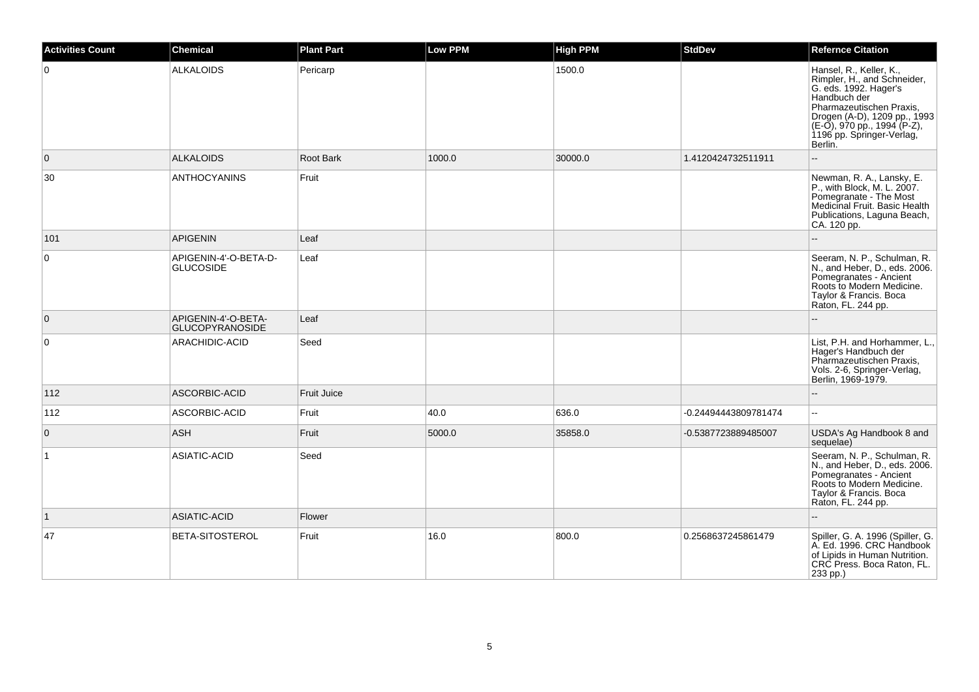| <b>Activities Count</b> | <b>Chemical</b>                               | <b>Plant Part</b> | <b>Low PPM</b> | <b>High PPM</b> | <b>StdDev</b>        | <b>Refernce Citation</b>                                                                                                                                                                                                           |
|-------------------------|-----------------------------------------------|-------------------|----------------|-----------------|----------------------|------------------------------------------------------------------------------------------------------------------------------------------------------------------------------------------------------------------------------------|
| $\overline{0}$          | <b>ALKALOIDS</b>                              | Pericarp          |                | 1500.0          |                      | Hansel, R., Keller, K.,<br>Rimpler, H., and Schneider,<br>G. eds. 1992. Hager's<br>Handbuch der<br>Pharmazeutischen Praxis,<br>Drogen (A-D), 1209 pp., 1993<br>(E-O), 970 pp., 1994 (P-Z),<br>1196 pp. Springer-Verlag,<br>Berlin. |
| $\overline{0}$          | <b>ALKALOIDS</b>                              | <b>Root Bark</b>  | 1000.0         | 30000.0         | 1.4120424732511911   |                                                                                                                                                                                                                                    |
| 30                      | <b>ANTHOCYANINS</b>                           | Fruit             |                |                 |                      | Newman, R. A., Lansky, E.<br>P., with Block, M. L. 2007.<br>Pomegranate - The Most<br>Medicinal Fruit. Basic Health<br>Publications, Laguna Beach,<br>CA. 120 pp.                                                                  |
| 101                     | <b>APIGENIN</b>                               | Leaf              |                |                 |                      |                                                                                                                                                                                                                                    |
| 0                       | APIGENIN-4'-O-BETA-D-<br><b>GLUCOSIDE</b>     | Leaf              |                |                 |                      | Seeram, N. P., Schulman, R.<br>N., and Heber, D., eds. 2006.<br>Pomegranates - Ancient<br>Roots to Modern Medicine.<br>Taylor & Francis. Boca<br>Raton, FL. 244 pp.                                                                |
| $\overline{0}$          | APIGENIN-4'-O-BETA-<br><b>GLUCOPYRANOSIDE</b> | Leaf              |                |                 |                      |                                                                                                                                                                                                                                    |
| $\overline{0}$          | ARACHIDIC-ACID                                | Seed              |                |                 |                      | List, P.H. and Horhammer, L.,<br>Hager's Handbuch der<br>Pharmazeutischen Praxis,<br>Vols. 2-6, Springer-Verlag,<br>Berlin, 1969-1979.                                                                                             |
| 112                     | ASCORBIC-ACID                                 | Fruit Juice       |                |                 |                      | ۵.                                                                                                                                                                                                                                 |
| 112                     | ASCORBIC-ACID                                 | Fruit             | 40.0           | 636.0           | -0.24494443809781474 | 44                                                                                                                                                                                                                                 |
| $\overline{0}$          | ASH                                           | Fruit             | 5000.0         | 35858.0         | -0.5387723889485007  | USDA's Ag Handbook 8 and<br>sequelae)                                                                                                                                                                                              |
| $\overline{1}$          | ASIATIC-ACID                                  | Seed              |                |                 |                      | Seeram, N. P., Schulman, R.<br>N., and Heber, D., eds. 2006.<br>Pomegranates - Ancient<br>Roots to Modern Medicine.<br>Taylor & Francis. Boca<br>Raton, FL. 244 pp.                                                                |
| $\vert$ 1               | ASIATIC-ACID                                  | Flower            |                |                 |                      | L.                                                                                                                                                                                                                                 |
| 47                      | <b>BETA-SITOSTEROL</b>                        | Fruit             | 16.0           | 800.0           | 0.2568637245861479   | Spiller, G. A. 1996 (Spiller, G.<br>A. Ed. 1996. CRC Handbook<br>of Lipids in Human Nutrition.<br>CRC Press. Boca Raton, FL.<br>$233$ pp.)                                                                                         |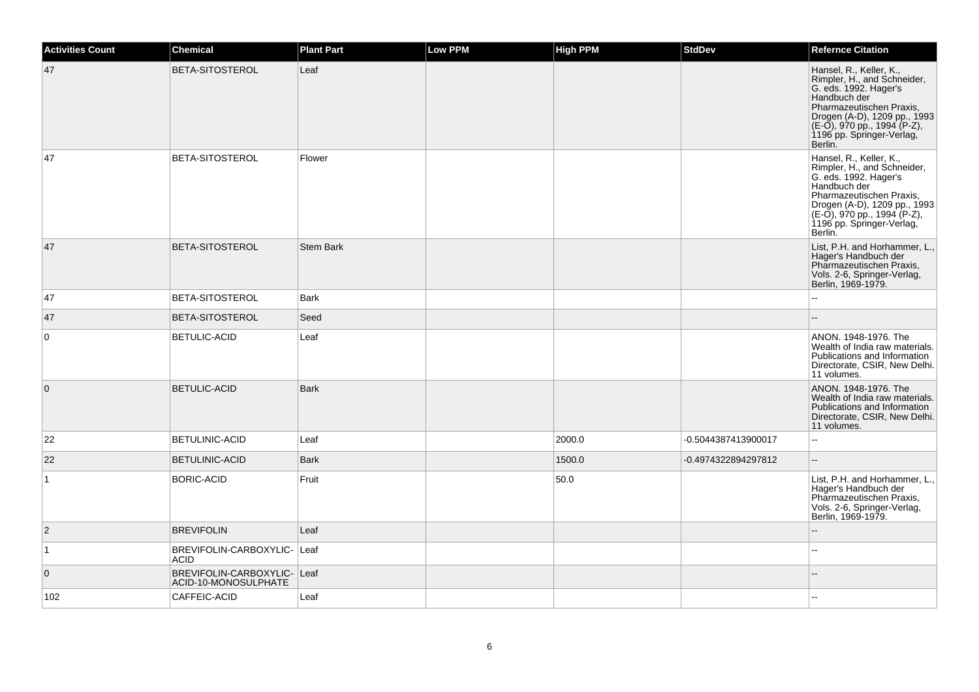| <b>Activities Count</b> | <b>Chemical</b>                                     | <b>Plant Part</b> | Low PPM | <b>High PPM</b> | <b>StdDev</b>       | <b>Refernce Citation</b>                                                                                                                                                                                                              |
|-------------------------|-----------------------------------------------------|-------------------|---------|-----------------|---------------------|---------------------------------------------------------------------------------------------------------------------------------------------------------------------------------------------------------------------------------------|
| 47                      | <b>BETA-SITOSTEROL</b>                              | Leaf              |         |                 |                     | Hansel, R., Keller, K.,<br>Rimpler, H., and Schneider,<br>G. eds. 1992. Hager's<br>Handbuch der<br>Pharmazeutischen Praxis,<br>Drogen (A-D), 1209 pp., 1993<br>(E-O), 970 pp., 1994 (P-Z),<br>1196 pp. Springer-Verlag,<br>Berlin.    |
| 47                      | BETA-SITOSTEROL                                     | Flower            |         |                 |                     | Hansel, R., Keller, K.,<br>Rimpler, H., and Schneider,<br>G. eds. 1992. Hager's<br>Handbuch der<br>Pharmazeutischen Praxis,<br>Drogen (A-D), 1209 pp., 1993<br>$(E-0)$ , 970 pp., 1994 (P-Z),<br>1196 pp. Springer-Verlag,<br>Berlin. |
| 47                      | BETA-SITOSTEROL                                     | <b>Stem Bark</b>  |         |                 |                     | List, P.H. and Horhammer, L.,<br>Hager's Handbuch der<br>Pharmazeutischen Praxis,<br>Vols. 2-6, Springer-Verlag,<br>Berlin, 1969-1979.                                                                                                |
| 47                      | <b>BETA-SITOSTEROL</b>                              | <b>Bark</b>       |         |                 |                     | $\sim$                                                                                                                                                                                                                                |
| 47                      | <b>BETA-SITOSTEROL</b>                              | Seed              |         |                 |                     |                                                                                                                                                                                                                                       |
| $\overline{0}$          | <b>BETULIC-ACID</b>                                 | Leaf              |         |                 |                     | ANON. 1948-1976. The<br>Wealth of India raw materials.<br>Publications and Information<br>Directorate, CSIR, New Delhi.<br>11 volumes.                                                                                                |
| $\mathbf 0$             | <b>BETULIC-ACID</b>                                 | <b>Bark</b>       |         |                 |                     | ANON. 1948-1976. The<br>Wealth of India raw materials.<br>Publications and Information<br>Directorate, CSIR, New Delhi.<br>11 volumes.                                                                                                |
| 22                      | <b>BETULINIC-ACID</b>                               | Leaf              |         | 2000.0          | -0.5044387413900017 | ÷.                                                                                                                                                                                                                                    |
| 22                      | <b>BETULINIC-ACID</b>                               | Bark              |         | 1500.0          | -0.4974322894297812 | ÷.                                                                                                                                                                                                                                    |
| $\mathbf{1}$            | <b>BORIC-ACID</b>                                   | Fruit             |         | 50.0            |                     | List, P.H. and Horhammer, L.,<br>Hager's Handbuch der<br>Pharmazeutischen Praxis,<br>Vols. 2-6, Springer-Verlag,<br>Berlin, 1969-1979.                                                                                                |
| $\overline{2}$          | <b>BREVIFOLIN</b>                                   | Leaf              |         |                 |                     |                                                                                                                                                                                                                                       |
| $\overline{1}$          | BREVIFOLIN-CARBOXYLIC- Leaf<br><b>ACID</b>          |                   |         |                 |                     |                                                                                                                                                                                                                                       |
| $\overline{0}$          | BREVIFOLIN-CARBOXYLIC- Leaf<br>ACID-10-MONOSULPHATE |                   |         |                 |                     |                                                                                                                                                                                                                                       |
| 102                     | CAFFEIC-ACID                                        | Leaf              |         |                 |                     |                                                                                                                                                                                                                                       |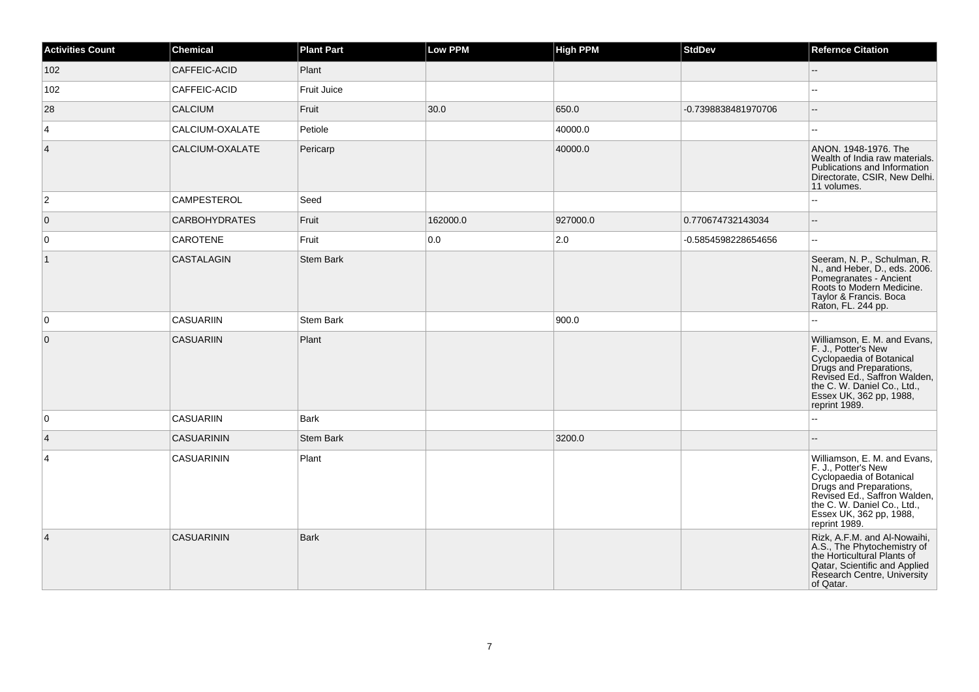| <b>Activities Count</b> | <b>Chemical</b>      | <b>Plant Part</b>  | Low PPM  | <b>High PPM</b> | <b>StdDev</b>       | <b>Refernce Citation</b>                                                                                                                                                                                              |
|-------------------------|----------------------|--------------------|----------|-----------------|---------------------|-----------------------------------------------------------------------------------------------------------------------------------------------------------------------------------------------------------------------|
| 102                     | CAFFEIC-ACID         | Plant              |          |                 |                     | -−                                                                                                                                                                                                                    |
| 102                     | CAFFEIC-ACID         | <b>Fruit Juice</b> |          |                 |                     |                                                                                                                                                                                                                       |
| 28                      | <b>CALCIUM</b>       | Fruit              | 30.0     | 650.0           | -0.7398838481970706 | $\overline{\phantom{a}}$                                                                                                                                                                                              |
| 4                       | CALCIUM-OXALATE      | Petiole            |          | 40000.0         |                     | --                                                                                                                                                                                                                    |
| 4                       | CALCIUM-OXALATE      | Pericarp           |          | 40000.0         |                     | ANON. 1948-1976. The<br>Wealth of India raw materials.<br>Publications and Information<br>Directorate, CSIR, New Delhi.<br>11 volumes.                                                                                |
| $\mathbf{2}$            | CAMPESTEROL          | Seed               |          |                 |                     | ۵.                                                                                                                                                                                                                    |
| $\mathbf{0}$            | <b>CARBOHYDRATES</b> | Fruit              | 162000.0 | 927000.0        | 0.770674732143034   | $-$                                                                                                                                                                                                                   |
| 0                       | CAROTENE             | Fruit              | 0.0      | 2.0             | -0.5854598228654656 | $\overline{a}$                                                                                                                                                                                                        |
| $\vert$ 1               | CASTALAGIN           | <b>Stem Bark</b>   |          |                 |                     | Seeram, N. P., Schulman, R.<br>N., and Heber, D., eds. 2006.<br>Pomegranates - Ancient<br>Roots to Modern Medicine.<br>Taylor & Francis. Boca<br>Raton, FL. 244 pp.                                                   |
| $\mathbf 0$             | <b>CASUARIIN</b>     | Stem Bark          |          | 900.0           |                     | Щ.                                                                                                                                                                                                                    |
| $\mathbf{0}$            | <b>CASUARIIN</b>     | Plant              |          |                 |                     | Williamson, E. M. and Evans,<br>F. J., Potter's New<br>Cyclopaedia of Botanical<br>Drugs and Preparations,<br>Revised Ed., Saffron Walden,<br>the C. W. Daniel Co., Ltd.,<br>Essex UK, 362 pp, 1988,<br>reprint 1989. |
| 0                       | <b>CASUARIIN</b>     | <b>Bark</b>        |          |                 |                     | ۵.                                                                                                                                                                                                                    |
| 4                       | <b>CASUARININ</b>    | <b>Stem Bark</b>   |          | 3200.0          |                     | --                                                                                                                                                                                                                    |
| 4                       | <b>CASUARININ</b>    | Plant              |          |                 |                     | Williamson, E. M. and Evans,<br>F. J., Potter's New<br>Cyclopaedia of Botanical<br>Drugs and Preparations,<br>Revised Ed., Saffron Walden,<br>the C. W. Daniel Co., Ltd.,<br>Essex UK, 362 pp, 1988,<br>reprint 1989. |
| 4                       | <b>CASUARININ</b>    | Bark               |          |                 |                     | Rizk, A.F.M. and Al-Nowaihi,<br>A.S., The Phytochemistry of<br>the Horticultural Plants of<br>Qatar, Scientific and Applied<br>Research Centre, University<br>of Qatar.                                               |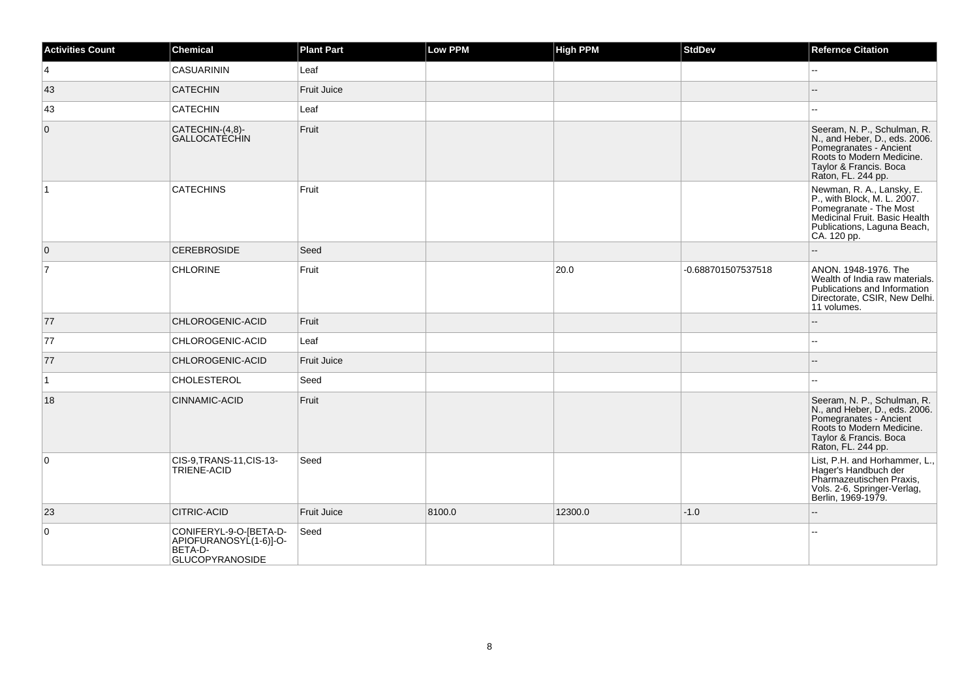| <b>Activities Count</b> | Chemical                                                                              | <b>Plant Part</b>  | <b>Low PPM</b> | <b>High PPM</b> | <b>StdDev</b>      | <b>Refernce Citation</b>                                                                                                                                            |
|-------------------------|---------------------------------------------------------------------------------------|--------------------|----------------|-----------------|--------------------|---------------------------------------------------------------------------------------------------------------------------------------------------------------------|
| $\overline{4}$          | <b>CASUARININ</b>                                                                     | Leaf               |                |                 |                    | $\overline{a}$                                                                                                                                                      |
| 43                      | <b>CATECHIN</b>                                                                       | Fruit Juice        |                |                 |                    |                                                                                                                                                                     |
| 43                      | <b>CATECHIN</b>                                                                       | Leaf               |                |                 |                    |                                                                                                                                                                     |
| $\mathbf{0}$            | CATECHIN-(4,8)-<br>GALLOCATÈCHIN                                                      | Fruit              |                |                 |                    | Seeram, N. P., Schulman, R.<br>N., and Heber, D., eds. 2006.<br>Pomegranates - Ancient<br>Roots to Modern Medicine.<br>Taylor & Francis. Boca<br>Raton, FL. 244 pp. |
| $\mathbf{1}$            | <b>CATECHINS</b>                                                                      | Fruit              |                |                 |                    | Newman, R. A., Lansky, E.<br>P., with Block, M. L. 2007.<br>Pomegranate - The Most<br>Medicinal Fruit. Basic Health<br>Publications, Laguna Beach,<br>CA. 120 pp.   |
| $\overline{0}$          | <b>CEREBROSIDE</b>                                                                    | Seed               |                |                 |                    |                                                                                                                                                                     |
| $\overline{7}$          | <b>CHLORINE</b>                                                                       | Fruit              |                | 20.0            | -0.688701507537518 | ANON. 1948-1976. The<br>Wealth of India raw materials.<br>Publications and Information<br>Directorate, CSIR, New Delhi.<br>11 volumes.                              |
| 77                      | CHLOROGENIC-ACID                                                                      | Fruit              |                |                 |                    |                                                                                                                                                                     |
| 77                      | CHLOROGENIC-ACID                                                                      | Leaf               |                |                 |                    | ۰.                                                                                                                                                                  |
| 77                      | CHLOROGENIC-ACID                                                                      | <b>Fruit Juice</b> |                |                 |                    |                                                                                                                                                                     |
| $\vert$ 1               | <b>CHOLESTEROL</b>                                                                    | Seed               |                |                 |                    | ÷÷.                                                                                                                                                                 |
| 18                      | CINNAMIC-ACID                                                                         | Fruit              |                |                 |                    | Seeram, N. P., Schulman, R.<br>N., and Heber, D., eds. 2006.<br>Pomegranates - Ancient<br>Roots to Modern Medicine.<br>Taylor & Francis. Boca<br>Raton, FL. 244 pp. |
| $\mathbf 0$             | CIS-9, TRANS-11, CIS-13-<br>TRIENE-ACID                                               | Seed               |                |                 |                    | List, P.H. and Horhammer, L.,<br>Hager's Handbuch der<br>Pharmazeutischen Praxis,<br>Vols. 2-6, Springer-Verlag,<br>Berlin, 1969-1979.                              |
| 23                      | <b>CITRIC-ACID</b>                                                                    | Fruit Juice        | 8100.0         | 12300.0         | $-1.0$             |                                                                                                                                                                     |
| $\mathbf 0$             | CONIFERYL-9-O-[BETA-D-<br>APIOFURANOSYL(1-6)]-O-<br>BETA-D-<br><b>GLUCOPYRANOSIDE</b> | Seed               |                |                 |                    | Щ,                                                                                                                                                                  |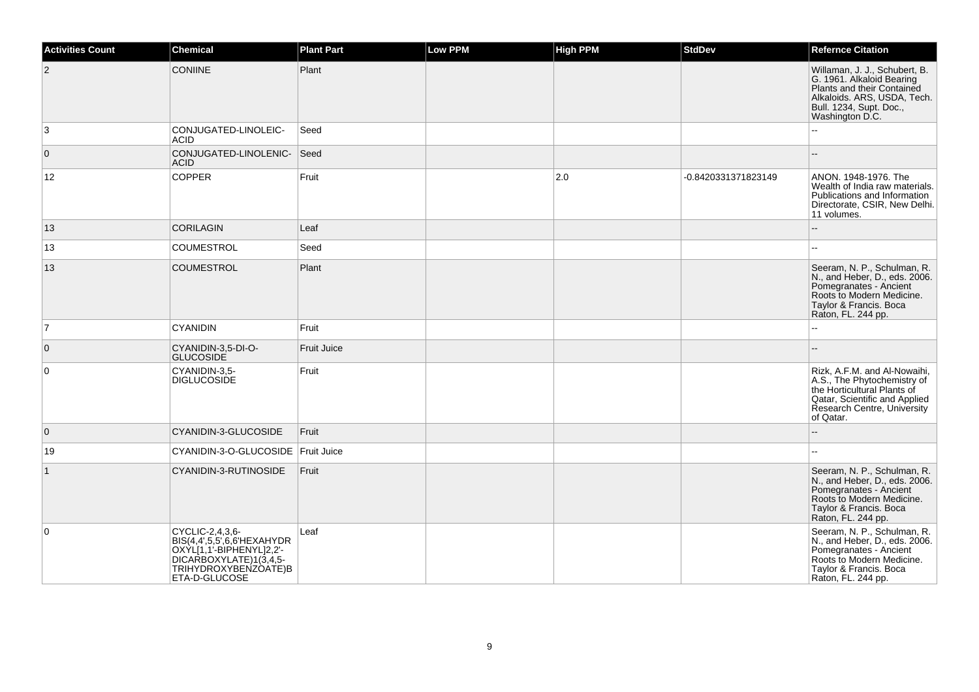| <b>Activities Count</b> | <b>Chemical</b>                                                                                                                              | <b>Plant Part</b>  | <b>Low PPM</b> | <b>High PPM</b> | <b>StdDev</b>       | <b>Refernce Citation</b>                                                                                                                                                |
|-------------------------|----------------------------------------------------------------------------------------------------------------------------------------------|--------------------|----------------|-----------------|---------------------|-------------------------------------------------------------------------------------------------------------------------------------------------------------------------|
| $\overline{2}$          | <b>CONIINE</b>                                                                                                                               | Plant              |                |                 |                     | Willaman, J. J., Schubert, B.<br>G. 1961. Alkaloid Bearing<br>Plants and their Contained<br>Alkaloids. ARS, USDA, Tech.<br>Bull. 1234, Supt. Doc.,<br>Washington D.C.   |
| 3                       | CONJUGATED-LINOLEIC-<br><b>ACID</b>                                                                                                          | Seed               |                |                 |                     |                                                                                                                                                                         |
| 0                       | CONJUGATED-LINOLENIC-<br><b>ACID</b>                                                                                                         | Seed               |                |                 |                     |                                                                                                                                                                         |
| 12                      | <b>COPPER</b>                                                                                                                                | Fruit              |                | 2.0             | -0.8420331371823149 | ANON. 1948-1976. The<br>Wealth of India raw materials.<br>Publications and Information<br>Directorate, CSIR, New Delhi.<br>11 volumes.                                  |
| 13                      | <b>CORILAGIN</b>                                                                                                                             | Leaf               |                |                 |                     | $\overline{\phantom{a}}$                                                                                                                                                |
| 13                      | <b>COUMESTROL</b>                                                                                                                            | Seed               |                |                 |                     |                                                                                                                                                                         |
| 13                      | COUMESTROL                                                                                                                                   | Plant              |                |                 |                     | Seeram, N. P., Schulman, R.<br>N., and Heber, D., eds. 2006.<br>Pomegranates - Ancient<br>Roots to Modern Medicine.<br>Taylor & Francis. Boca<br>Raton, FL. 244 pp.     |
| $\overline{7}$          | <b>CYANIDIN</b>                                                                                                                              | Fruit              |                |                 |                     |                                                                                                                                                                         |
| $\mathbf 0$             | CYANIDIN-3,5-DI-O-<br><b>GLUCOSIDE</b>                                                                                                       | <b>Fruit Juice</b> |                |                 |                     |                                                                                                                                                                         |
| $\mathbf 0$             | CYANIDIN-3.5-<br><b>DIGLUCOSIDE</b>                                                                                                          | Fruit              |                |                 |                     | Rizk, A.F.M. and Al-Nowaihi,<br>A.S., The Phytochemistry of<br>the Horticultural Plants of<br>Qatar, Scientific and Applied<br>Research Centre, University<br>of Qatar. |
| $\mathbf{0}$            | CYANIDIN-3-GLUCOSIDE                                                                                                                         | Fruit              |                |                 |                     |                                                                                                                                                                         |
| 19                      | CYANIDIN-3-O-GLUCOSIDE Fruit Juice                                                                                                           |                    |                |                 |                     | --                                                                                                                                                                      |
| $\overline{1}$          | CYANIDIN-3-RUTINOSIDE                                                                                                                        | Fruit              |                |                 |                     | Seeram, N. P., Schulman, R.<br>N., and Heber, D., eds. 2006.<br>Pomegranates - Ancient<br>Roots to Modern Medicine.<br>Taylor & Francis. Boca<br>Raton, FL. 244 pp.     |
| $\Omega$                | CYCLIC-2,4,3,6-<br>BIS(4,4',5,5',6,6'HEXAHYDR<br>OXYL[1,1'-BIPHENYL]2,2'-<br>DICARBOXYLATE)1(3,4,5-<br>TRIHYDROXYBENZOATE)B<br>ETA-D-GLUCOSE | Leaf               |                |                 |                     | Seeram, N. P., Schulman, R.<br>N., and Heber, D., eds. 2006.<br>Pomegranates - Ancient<br>Roots to Modern Medicine.<br>Taylor & Francis. Boca<br>Raton, FL. 244 pp.     |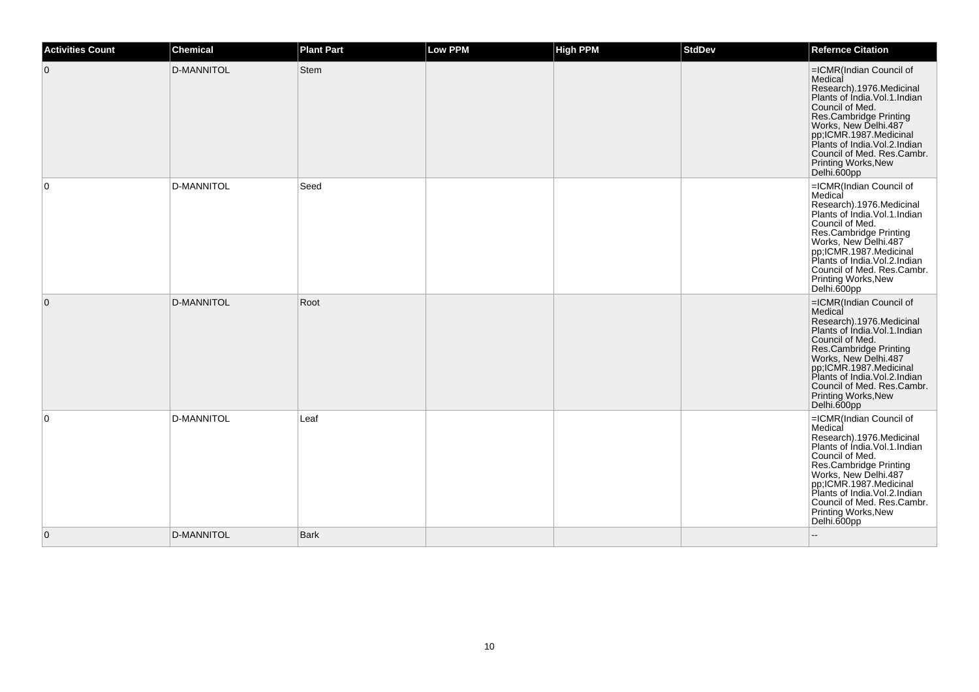| <b>Activities Count</b> | <b>Chemical</b>   | <b>Plant Part</b> | <b>Low PPM</b> | <b>High PPM</b> | <b>StdDev</b> | <b>Refernce Citation</b>                                                                                                                                                                                                                                                                                 |
|-------------------------|-------------------|-------------------|----------------|-----------------|---------------|----------------------------------------------------------------------------------------------------------------------------------------------------------------------------------------------------------------------------------------------------------------------------------------------------------|
| $\overline{0}$          | D-MANNITOL        | Stem              |                |                 |               | =ICMR(Indian Council of<br>Medical<br>Research).1976.Medicinal<br>Plants of Índia.Vol.1.Indian<br>Council of Med.<br>Res.Cambridge Printing<br>Works, New Delhi.487<br>pp,ICMR.1987.Medicinal<br>Plants of India. Vol. 2. Indian<br>Council of Med. Res.Cambr.<br>Printing Works, New<br>Delhi.600pp     |
| $\overline{0}$          | <b>D-MANNITOL</b> | Seed              |                |                 |               | =ICMR(Indian Council of<br>Medical<br>Research).1976.Medicinal<br>Plants of Índia.Vol.1.Indian<br>Council of Med.<br>Res.Cambridge Printing<br>Works, New Delhi.487<br>pp;ICMR.1987.Medicinal<br>Plants of India. Vol. 2. Indian<br>Council of Med. Res.Cambr.<br>Printing Works, New<br>Delhi.600pp     |
| $\overline{0}$          | <b>D-MANNITOL</b> | Root              |                |                 |               | =ICMR(Indian Council of<br>Medical<br>Research).1976.Medicinal<br>Plants of India.Vol.1.Indian<br>Council of Med.<br>Res.Cambridge Printing<br>Works, New Delhi.487<br>pp;ICMR.1987.Medicinal<br>Plants of India.Vol.2.Indian<br>Council of Med. Res.Cambr.<br><b>Printing Works, New</b><br>Delhi.600pp |
| $\overline{0}$          | D-MANNITOL        | Leaf              |                |                 |               | =ICMR(Indian Council of<br>Medical<br>Research).1976.Medicinal<br>Plants of India.Vol.1.Indian<br>Council of Med.<br>Res.Cambridge Printing<br>Works, New Delhi.487<br>pp;ICMR.1987.Medicinal<br>Plants of India.Vol.2.Indian<br>Council of Med. Res.Cambr.<br>Printing Works, New<br>Delhi.600pp        |
| $\overline{0}$          | D-MANNITOL        | <b>Bark</b>       |                |                 |               |                                                                                                                                                                                                                                                                                                          |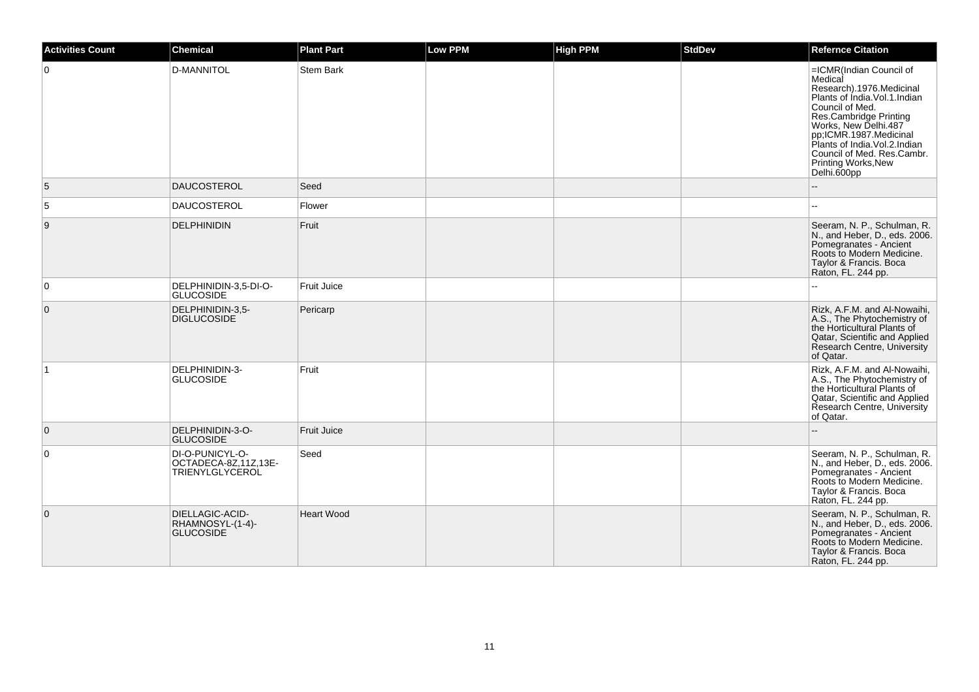| <b>Activities Count</b> | Chemical                                                          | <b>Plant Part</b>  | <b>Low PPM</b> | <b>High PPM</b> | <b>StdDev</b> | <b>Refernce Citation</b>                                                                                                                                                                                                                                                                                |
|-------------------------|-------------------------------------------------------------------|--------------------|----------------|-----------------|---------------|---------------------------------------------------------------------------------------------------------------------------------------------------------------------------------------------------------------------------------------------------------------------------------------------------------|
| $\Omega$                | <b>D-MANNITOL</b>                                                 | Stem Bark          |                |                 |               | =ICMR(Indian Council of<br>Medical<br>Research).1976.Medicinal<br>Plants of Índia. Vol. 1. Indian<br>Council of Med.<br>Res.Cambridge Printing<br>Works, New Delhi.487<br>pp;ICMR.1987.Medicinal<br>Plants of India. Vol. 2. Indian<br>Council of Med. Res.Cambr.<br>Printing Works, New<br>Delhi.600pp |
| 5                       | <b>DAUCOSTEROL</b>                                                | Seed               |                |                 |               |                                                                                                                                                                                                                                                                                                         |
| 5                       | <b>DAUCOSTEROL</b>                                                | Flower             |                |                 |               |                                                                                                                                                                                                                                                                                                         |
| 9                       | <b>DELPHINIDIN</b>                                                | Fruit              |                |                 |               | Seeram, N. P., Schulman, R.<br>N., and Heber, D., eds. 2006.<br>Pomegranates - Ancient<br>Roots to Modern Medicine.<br>Taylor & Francis. Boca<br>Raton, FL. 244 pp.                                                                                                                                     |
| $\mathbf 0$             | DELPHINIDIN-3,5-DI-O-<br><b>GLUCOSIDE</b>                         | <b>Fruit Juice</b> |                |                 |               |                                                                                                                                                                                                                                                                                                         |
| $\mathbf 0$             | DELPHINIDIN-3,5-<br><b>DIGLUCOSIDE</b>                            | Pericarp           |                |                 |               | Rizk, A.F.M. and Al-Nowaihi,<br>A.S., The Phytochemistry of<br>the Horticultural Plants of<br>Qatar, Scientific and Applied<br>Research Centre, University<br>of Qatar.                                                                                                                                 |
| 1                       | DELPHINIDIN-3-<br><b>GLUCOSIDE</b>                                | Fruit              |                |                 |               | Rizk, A.F.M. and Al-Nowaihi,<br>A.S., The Phytochemistry of<br>the Horticultural Plants of<br>Qatar, Scientific and Applied<br>Research Centre, University<br>of Qatar.                                                                                                                                 |
| $\mathbf 0$             | DELPHINIDIN-3-O-<br><b>GLUCOSIDE</b>                              | <b>Fruit Juice</b> |                |                 |               |                                                                                                                                                                                                                                                                                                         |
| $\Omega$                | DI-O-PUNICYL-O-<br>OCTADECA-8Z,11Z,13E-<br><b>TRIENYLGLYCEROL</b> | Seed               |                |                 |               | Seeram, N. P., Schulman, R.<br>N., and Heber, D., eds. 2006.<br>Pomegranates - Ancient<br>Roots to Modern Medicine.<br>Taylor & Francis. Boca<br>Raton, FL. 244 pp.                                                                                                                                     |
| $\mathbf 0$             | DIELLAGIC-ACID-<br>RHAMNOSYL-(1-4)-<br><b>GLUCOSIDE</b>           | <b>Heart Wood</b>  |                |                 |               | Seeram, N. P., Schulman, R.<br>N., and Heber, D., eds. 2006.<br>Pomegranates - Ancient<br>Roots to Modern Medicine.<br>Taylor & Francis. Boca<br>Raton, FL. 244 pp.                                                                                                                                     |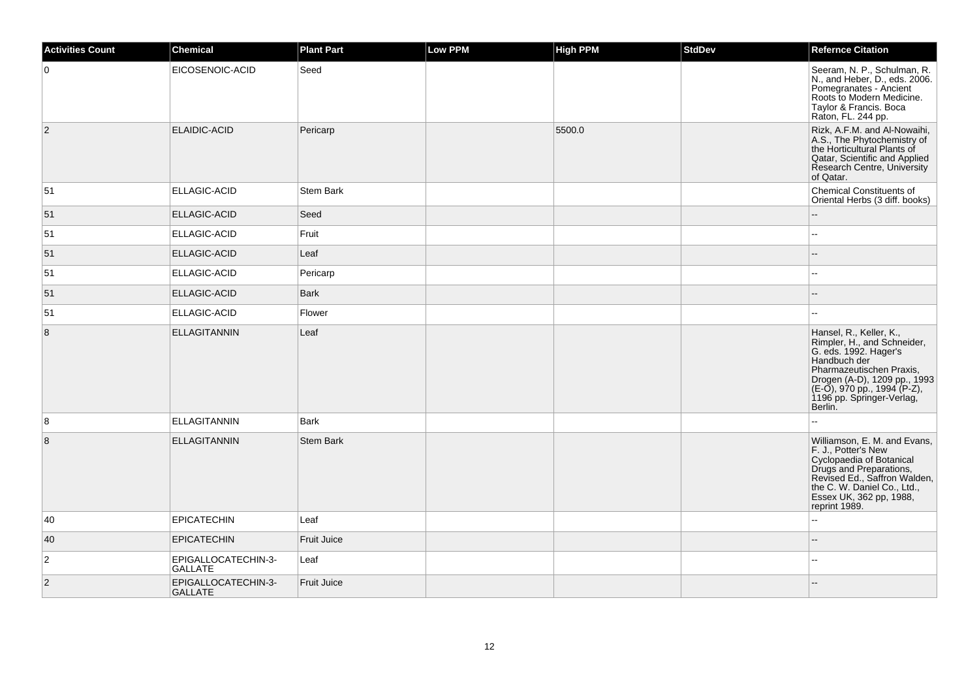| <b>Activities Count</b> | <b>Chemical</b>                       | <b>Plant Part</b> | Low PPM | <b>High PPM</b> | <b>StdDev</b> | <b>Refernce Citation</b>                                                                                                                                                                                                           |
|-------------------------|---------------------------------------|-------------------|---------|-----------------|---------------|------------------------------------------------------------------------------------------------------------------------------------------------------------------------------------------------------------------------------------|
| $\overline{0}$          | EICOSENOIC-ACID                       | Seed              |         |                 |               | Seeram, N. P., Schulman, R.<br>N., and Heber, D., eds. 2006.<br>Pomegranates - Ancient<br>Roots to Modern Medicine.<br>Taylor & Francis. Boca<br>Raton, FL. 244 pp.                                                                |
| $\overline{2}$          | ELAIDIC-ACID                          | Pericarp          |         | 5500.0          |               | Rizk, A.F.M. and Al-Nowaihi,<br>A.S., The Phytochemistry of<br>the Horticultural Plants of<br>Qatar, Scientific and Applied<br>Research Centre, University<br>of Qatar.                                                            |
| 51                      | ELLAGIC-ACID                          | <b>Stem Bark</b>  |         |                 |               | <b>Chemical Constituents of</b><br>Oriental Herbs (3 diff. books)                                                                                                                                                                  |
| 51                      | ELLAGIC-ACID                          | Seed              |         |                 |               |                                                                                                                                                                                                                                    |
| 51                      | ELLAGIC-ACID                          | Fruit             |         |                 |               | ۵.                                                                                                                                                                                                                                 |
| 51                      | ELLAGIC-ACID                          | Leaf              |         |                 |               |                                                                                                                                                                                                                                    |
| 51                      | ELLAGIC-ACID                          | Pericarp          |         |                 |               |                                                                                                                                                                                                                                    |
| 51                      | <b>ELLAGIC-ACID</b>                   | <b>Bark</b>       |         |                 |               |                                                                                                                                                                                                                                    |
| 51                      | ELLAGIC-ACID                          | Flower            |         |                 |               |                                                                                                                                                                                                                                    |
| 8                       | <b>ELLAGITANNIN</b>                   | Leaf              |         |                 |               | Hansel, R., Keller, K.,<br>Rimpler, H., and Schneider,<br>G. eds. 1992. Hager's<br>Handbuch der<br>Pharmazeutischen Praxis,<br>Drogen (A-D), 1209 pp., 1993<br>(E-O), 970 pp., 1994 (P-Z),<br>1196 pp. Springer-Verlag,<br>Berlin. |
| 8                       | <b>ELLAGITANNIN</b>                   | Bark              |         |                 |               | $\sim$                                                                                                                                                                                                                             |
| $\bf 8$                 | <b>ELLAGITANNIN</b>                   | <b>Stem Bark</b>  |         |                 |               | Williamson, E. M. and Evans,<br>F. J., Potter's New<br>Cyclopaedia of Botanical<br>Drugs and Preparations,<br>Revised Ed., Saffron Walden,<br>the C. W. Daniel Co., Ltd.,<br>Essex UK, 362 pp, 1988,<br>reprint 1989.              |
| 40                      | <b>EPICATECHIN</b>                    | Leaf              |         |                 |               |                                                                                                                                                                                                                                    |
| 40                      | <b>EPICATECHIN</b>                    | Fruit Juice       |         |                 |               |                                                                                                                                                                                                                                    |
| $\overline{2}$          | EPIGALLOCATECHIN-3-<br><b>GALLATE</b> | Leaf              |         |                 |               | $\mathbf{u}$                                                                                                                                                                                                                       |
| $\overline{2}$          | EPIGALLOCATECHIN-3-<br><b>GALLATE</b> | Fruit Juice       |         |                 |               |                                                                                                                                                                                                                                    |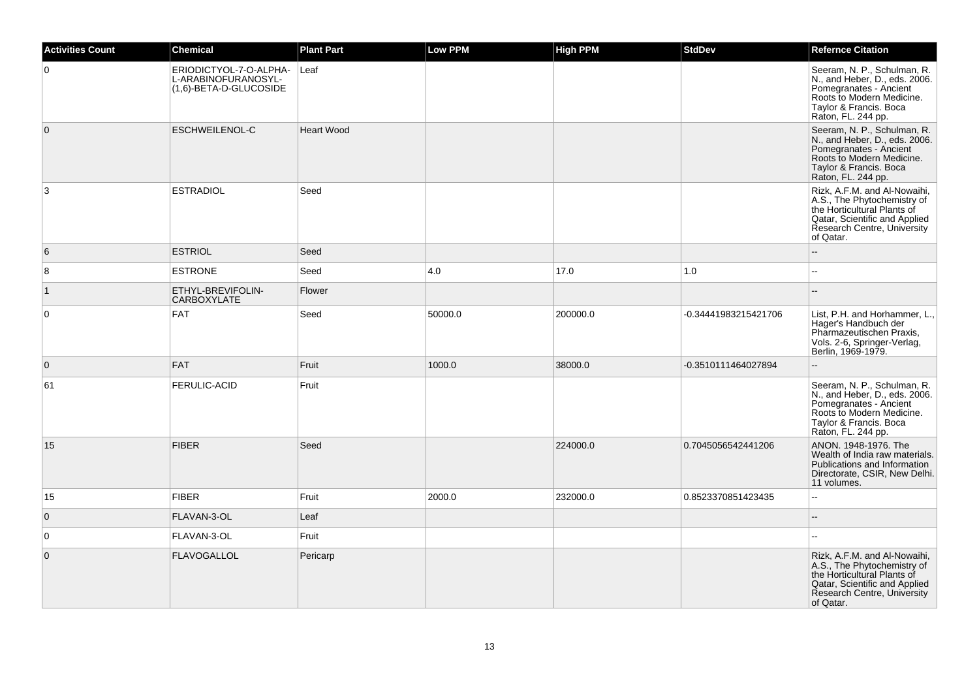| <b>Activities Count</b> | <b>Chemical</b>                                                         | <b>Plant Part</b> | <b>Low PPM</b> | High PPM | <b>StdDev</b>        | <b>Refernce Citation</b>                                                                                                                                                |
|-------------------------|-------------------------------------------------------------------------|-------------------|----------------|----------|----------------------|-------------------------------------------------------------------------------------------------------------------------------------------------------------------------|
| $\overline{0}$          | ERIODICTYOL-7-O-ALPHA-<br>L-ARABINOFURANOSYL-<br>(1,6)-BETA-D-GLUCOSIDE | Leaf              |                |          |                      | Seeram, N. P., Schulman, R.<br>N., and Heber, D., eds. 2006.<br>Pomegranates - Ancient<br>Roots to Modern Medicine.<br>Taylor & Francis. Boca<br>Raton, FL. 244 pp.     |
| $\overline{0}$          | ESCHWEILENOL-C                                                          | <b>Heart Wood</b> |                |          |                      | Seeram, N. P., Schulman, R.<br>N., and Heber, D., eds. 2006.<br>Pomegranates - Ancient<br>Roots to Modern Medicine.<br>Taylor & Francis. Boca<br>Raton, FL. 244 pp.     |
| $\mathbf{3}$            | <b>ESTRADIOL</b>                                                        | Seed              |                |          |                      | Rizk, A.F.M. and Al-Nowaihi,<br>A.S., The Phytochemistry of<br>the Horticultural Plants of<br>Qatar, Scientific and Applied<br>Research Centre, University<br>of Qatar. |
| 6                       | <b>ESTRIOL</b>                                                          | Seed              |                |          |                      |                                                                                                                                                                         |
| 8                       | <b>ESTRONE</b>                                                          | Seed              | 4.0            | 17.0     | 1.0                  | L.                                                                                                                                                                      |
| $\vert$ 1               | ETHYL-BREVIFOLIN-<br>CARBOXYLATE                                        | Flower            |                |          |                      |                                                                                                                                                                         |
| 0                       | <b>FAT</b>                                                              | Seed              | 50000.0        | 200000.0 | -0.34441983215421706 | List, P.H. and Horhammer, L.,<br>Hager's Handbuch der<br>Pharmazeutischen Praxis,<br>Vols. 2-6, Springer-Verlag,<br>Berlin, 1969-1979.                                  |
| $\overline{0}$          | <b>FAT</b>                                                              | Fruit             | 1000.0         | 38000.0  | -0.3510111464027894  |                                                                                                                                                                         |
| 61                      | <b>FERULIC-ACID</b>                                                     | Fruit             |                |          |                      | Seeram, N. P., Schulman, R.<br>N., and Heber, D., eds. 2006.<br>Pomegranates - Ancient<br>Roots to Modern Medicine.<br>Taylor & Francis. Boca<br>Raton, FL. 244 pp.     |
| 15                      | <b>FIBER</b>                                                            | Seed              |                | 224000.0 | 0.7045056542441206   | ANON. 1948-1976. The<br>Wealth of India raw materials.<br>Publications and Information<br>Directorate, CSIR, New Delhi.<br>11 volumes.                                  |
| 15                      | <b>FIBER</b>                                                            | Fruit             | 2000.0         | 232000.0 | 0.8523370851423435   | $\sim$                                                                                                                                                                  |
| $\overline{0}$          | FLAVAN-3-OL                                                             | Leaf              |                |          |                      | $\overline{a}$                                                                                                                                                          |
| $\overline{0}$          | FLAVAN-3-OL                                                             | Fruit             |                |          |                      |                                                                                                                                                                         |
| $\overline{0}$          | <b>FLAVOGALLOL</b>                                                      | Pericarp          |                |          |                      | Rizk, A.F.M. and Al-Nowaihi,<br>A.S., The Phytochemistry of<br>the Horticultural Plants of<br>Qatar, Scientific and Applied<br>Research Centre, University<br>of Qatar. |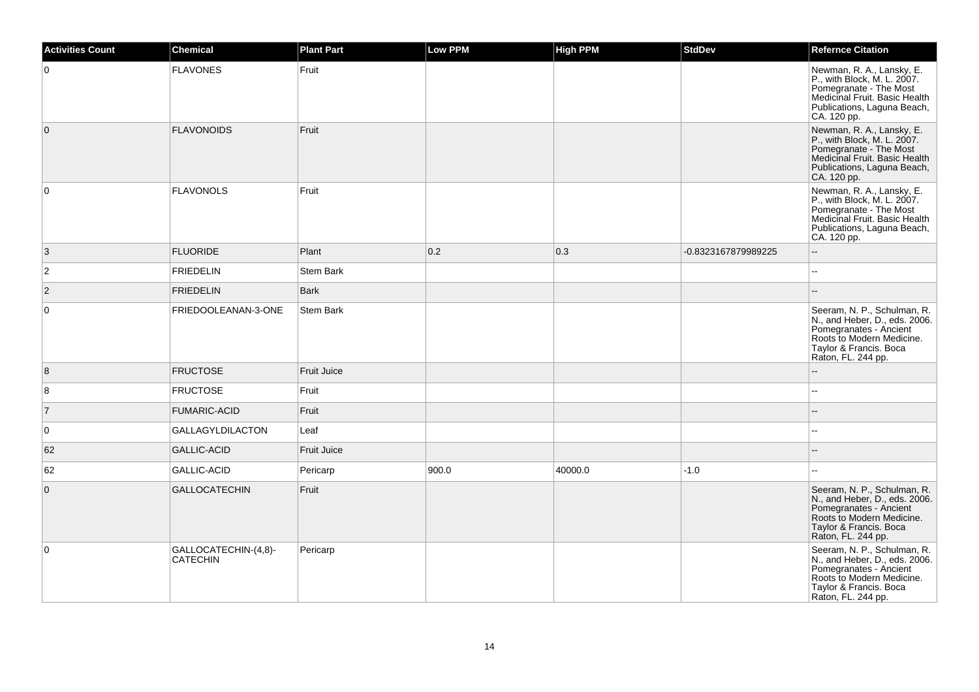| <b>Activities Count</b> | <b>Chemical</b>                         | <b>Plant Part</b>  | Low PPM | <b>High PPM</b> | <b>StdDev</b>       | <b>Refernce Citation</b>                                                                                                                                            |
|-------------------------|-----------------------------------------|--------------------|---------|-----------------|---------------------|---------------------------------------------------------------------------------------------------------------------------------------------------------------------|
| $\mathbf 0$             | <b>FLAVONES</b>                         | Fruit              |         |                 |                     | Newman, R. A., Lansky, E.<br>P., with Block, M. L. 2007.<br>Pomegranate - The Most<br>Medicinal Fruit. Basic Health<br>Publications, Laguna Beach,<br>CA. 120 pp.   |
| $\overline{0}$          | <b>FLAVONOIDS</b>                       | Fruit              |         |                 |                     | Newman, R. A., Lansky, E.<br>P., with Block, M. L. 2007.<br>Pomegranate - The Most<br>Medicinal Fruit. Basic Health<br>Publications, Laguna Beach,<br>CA. 120 pp.   |
| $\mathbf 0$             | <b>FLAVONOLS</b>                        | Fruit              |         |                 |                     | Newman, R. A., Lansky, E.<br>P., with Block, M. L. 2007.<br>Pomegranate - The Most<br>Medicinal Fruit. Basic Health<br>Publications, Laguna Beach,<br>CA. 120 pp.   |
| 3                       | <b>FLUORIDE</b>                         | Plant              | 0.2     | 0.3             | -0.8323167879989225 | $\overline{\phantom{a}}$                                                                                                                                            |
| $\overline{c}$          | <b>FRIEDELIN</b>                        | Stem Bark          |         |                 |                     | $\sim$                                                                                                                                                              |
| $\vert$ 2               | <b>FRIEDELIN</b>                        | <b>Bark</b>        |         |                 |                     |                                                                                                                                                                     |
| $\pmb{0}$               | FRIEDOOLEANAN-3-ONE                     | Stem Bark          |         |                 |                     | Seeram, N. P., Schulman, R.<br>N., and Heber, D., eds. 2006.<br>Pomegranates - Ancient<br>Roots to Modern Medicine.<br>Taylor & Francis. Boca<br>Raton, FL. 244 pp. |
| 8                       | <b>FRUCTOSE</b>                         | <b>Fruit Juice</b> |         |                 |                     |                                                                                                                                                                     |
| 8                       | <b>FRUCTOSE</b>                         | Fruit              |         |                 |                     |                                                                                                                                                                     |
| $\overline{7}$          | <b>FUMARIC-ACID</b>                     | Fruit              |         |                 |                     |                                                                                                                                                                     |
| $\mathbf 0$             | <b>GALLAGYLDILACTON</b>                 | Leaf               |         |                 |                     |                                                                                                                                                                     |
| 62                      | <b>GALLIC-ACID</b>                      | <b>Fruit Juice</b> |         |                 |                     |                                                                                                                                                                     |
| 62                      | <b>GALLIC-ACID</b>                      | Pericarp           | 900.0   | 40000.0         | $-1.0$              |                                                                                                                                                                     |
| $\mathbf 0$             | <b>GALLOCATECHIN</b>                    | Fruit              |         |                 |                     | Seeram, N. P., Schulman, R.<br>N., and Heber, D., eds. 2006.<br>Pomegranates - Ancient<br>Roots to Modern Medicine.<br>Taylor & Francis. Boca<br>Raton, FL. 244 pp. |
| $\mathbf 0$             | GALLOCATECHIN-(4,8)-<br><b>CATECHIN</b> | Pericarp           |         |                 |                     | Seeram, N. P., Schulman, R.<br>N., and Heber, D., eds. 2006.<br>Pomegranates - Ancient<br>Roots to Modern Medicine.<br>Taylor & Francis. Boca<br>Raton, FL. 244 pp. |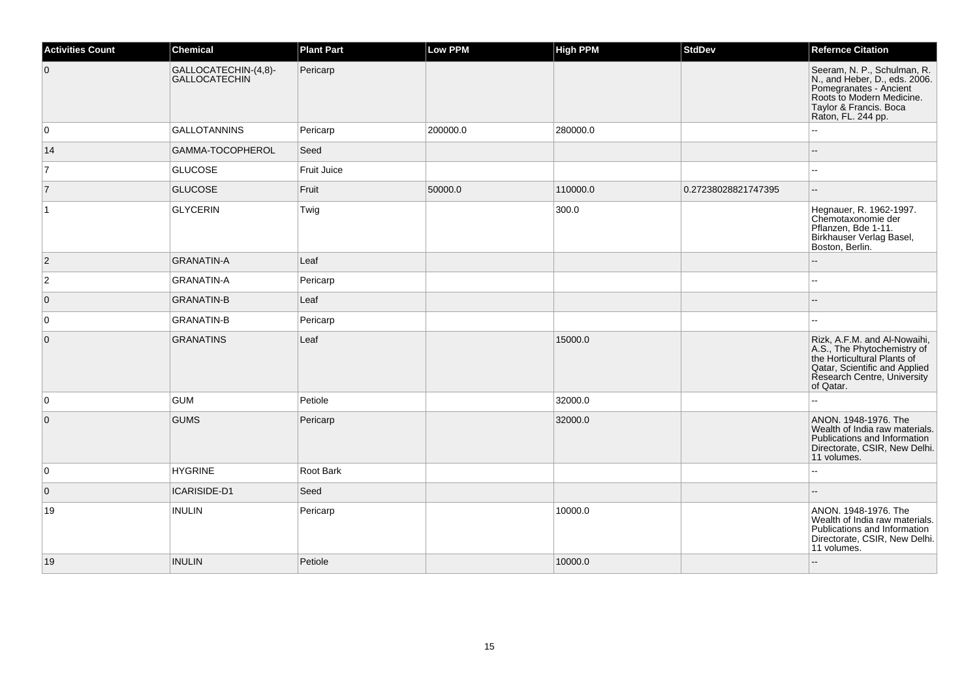| <b>Activities Count</b> | <b>Chemical</b>                       | <b>Plant Part</b> | <b>Low PPM</b> | <b>High PPM</b> | <b>StdDev</b>       | <b>Refernce Citation</b>                                                                                                                                                |
|-------------------------|---------------------------------------|-------------------|----------------|-----------------|---------------------|-------------------------------------------------------------------------------------------------------------------------------------------------------------------------|
| $\overline{0}$          | GALLOCATECHIN-(4,8)-<br>GALLOCATECHIN | Pericarp          |                |                 |                     | Seeram, N. P., Schulman, R.<br>N., and Heber, D., eds. 2006.<br>Pomegranates - Ancient<br>Roots to Modern Medicine.<br>Taylor & Francis. Boca<br>Raton, FL. 244 pp.     |
| 0                       | GALLOTANNINS                          | Pericarp          | 200000.0       | 280000.0        |                     |                                                                                                                                                                         |
| 14                      | GAMMA-TOCOPHEROL                      | Seed              |                |                 |                     | ۵.                                                                                                                                                                      |
| $\overline{7}$          | <b>GLUCOSE</b>                        | Fruit Juice       |                |                 |                     | Щ,                                                                                                                                                                      |
| $\overline{7}$          | <b>GLUCOSE</b>                        | Fruit             | 50000.0        | 110000.0        | 0.27238028821747395 | $\overline{\phantom{a}}$                                                                                                                                                |
| $\overline{1}$          | GLYCERIN                              | Twig              |                | 300.0           |                     | Hegnauer, R. 1962-1997.<br>Chemotaxonomie der<br>Pflanzen, Bde 1-11.<br>Birkhauser Verlag Basel,<br>Boston, Berlin.                                                     |
| $\vert$ 2               | GRANATIN-A                            | Leaf              |                |                 |                     |                                                                                                                                                                         |
| $\overline{c}$          | GRANATIN-A                            | Pericarp          |                |                 |                     | шш.                                                                                                                                                                     |
| $\overline{0}$          | <b>GRANATIN-B</b>                     | Leaf              |                |                 |                     | --                                                                                                                                                                      |
| 0                       | <b>GRANATIN-B</b>                     | Pericarp          |                |                 |                     |                                                                                                                                                                         |
| $\overline{0}$          | <b>GRANATINS</b>                      | Leaf              |                | 15000.0         |                     | Rizk, A.F.M. and Al-Nowaihi,<br>A.S., The Phytochemistry of<br>the Horticultural Plants of<br>Qatar, Scientific and Applied<br>Research Centre, University<br>of Qatar. |
| 0                       | <b>GUM</b>                            | Petiole           |                | 32000.0         |                     |                                                                                                                                                                         |
| $\overline{0}$          | <b>GUMS</b>                           | Pericarp          |                | 32000.0         |                     | ANON. 1948-1976. The<br>Wealth of India raw materials.<br>Publications and Information<br>Directorate, CSIR, New Delhi.<br>11 volumes.                                  |
| 0                       | <b>HYGRINE</b>                        | Root Bark         |                |                 |                     | ă.                                                                                                                                                                      |
| $\overline{0}$          | ICARISIDE-D1                          | Seed              |                |                 |                     |                                                                                                                                                                         |
| 19                      | <b>INULIN</b>                         | Pericarp          |                | 10000.0         |                     | ANON. 1948-1976. The<br>Wealth of India raw materials.<br>Publications and Information<br>Directorate, CSIR, New Delhi.<br>11 volumes.                                  |
| 19                      | <b>INULIN</b>                         | Petiole           |                | 10000.0         |                     |                                                                                                                                                                         |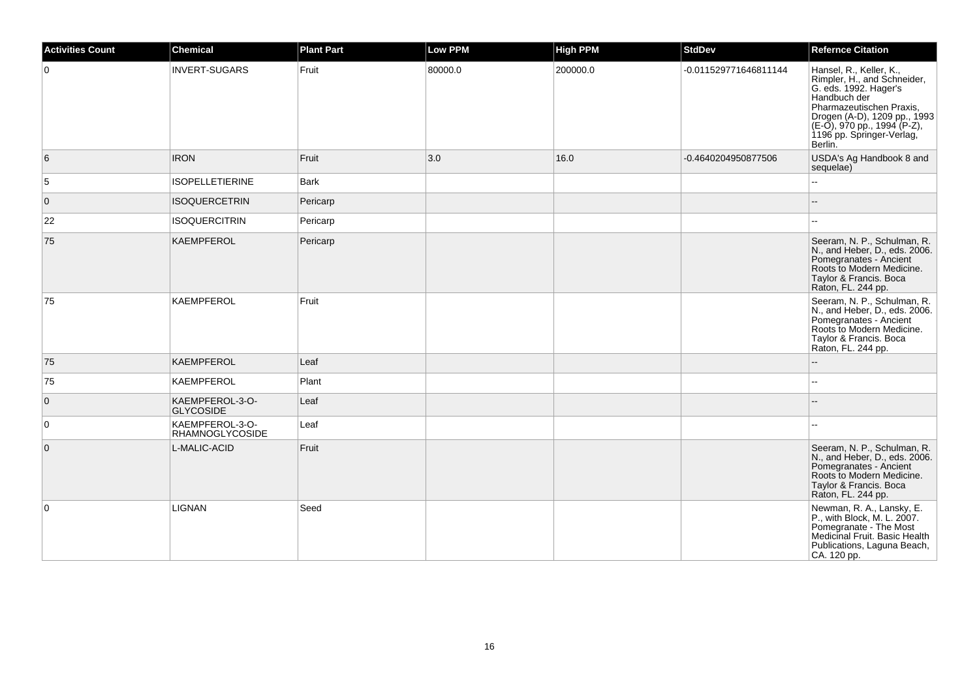| <b>Activities Count</b> | <b>Chemical</b>                           | <b>Plant Part</b> | Low PPM | <b>High PPM</b> | <b>StdDev</b>         | <b>Refernce Citation</b>                                                                                                                                                                                                           |
|-------------------------|-------------------------------------------|-------------------|---------|-----------------|-----------------------|------------------------------------------------------------------------------------------------------------------------------------------------------------------------------------------------------------------------------------|
| $\overline{0}$          | <b>INVERT-SUGARS</b>                      | Fruit             | 80000.0 | 200000.0        | -0.011529771646811144 | Hansel, R., Keller, K.,<br>Rimpler, H., and Schneider,<br>G. eds. 1992. Hager's<br>Handbuch der<br>Pharmazeutischen Praxis,<br>Progen (A-D), 1209 pp., 1993<br>(E-O), 970 pp., 1994 (P-Z),<br>1196 pp. Springer-Verlag,<br>Berlin. |
| 6                       | <b>IRON</b>                               | Fruit             | 3.0     | 16.0            | -0.4640204950877506   | USDA's Ag Handbook 8 and<br>sequelae)                                                                                                                                                                                              |
| 5                       | <b>ISOPELLETIERINE</b>                    | <b>Bark</b>       |         |                 |                       |                                                                                                                                                                                                                                    |
| $\overline{0}$          | <b>ISOQUERCETRIN</b>                      | Pericarp          |         |                 |                       |                                                                                                                                                                                                                                    |
| 22                      | <b>ISOQUERCITRIN</b>                      | Pericarp          |         |                 |                       |                                                                                                                                                                                                                                    |
| 75                      | <b>KAEMPFEROL</b>                         | Pericarp          |         |                 |                       | Seeram, N. P., Schulman, R.<br>N., and Heber, D., eds. 2006.<br>Pomegranates - Ancient<br>Roots to Modern Medicine.<br>Taylor & Francis. Boca<br>Raton, FL. 244 pp.                                                                |
| 75                      | <b>KAEMPFEROL</b>                         | Fruit             |         |                 |                       | Seeram, N. P., Schulman, R.<br>N., and Heber, D., eds. 2006.<br>Pomegranates - Ancient<br>Roots to Modern Medicine.<br>Taylor & Francis. Boca<br>Raton, FL. 244 pp.                                                                |
| 75                      | <b>KAEMPFEROL</b>                         | Leaf              |         |                 |                       |                                                                                                                                                                                                                                    |
| 75                      | KAEMPFEROL                                | Plant             |         |                 |                       |                                                                                                                                                                                                                                    |
| $\overline{0}$          | KAEMPFEROL-3-O-<br><b>GLYCOSIDE</b>       | Leaf              |         |                 |                       |                                                                                                                                                                                                                                    |
| $\overline{0}$          | KAEMPFEROL-3-O-<br><b>RHAMNOGLYCOSIDE</b> | Leaf              |         |                 |                       |                                                                                                                                                                                                                                    |
| $\overline{0}$          | L-MALIC-ACID                              | Fruit             |         |                 |                       | Seeram, N. P., Schulman, R.<br>N., and Heber, D., eds. 2006.<br>Pomegranates - Ancient<br>Roots to Modern Medicine.<br>Taylor & Francis. Boca<br>Raton, FL. 244 pp.                                                                |
| $\overline{0}$          | LIGNAN                                    | Seed              |         |                 |                       | Newman, R. A., Lansky, E.<br>P., with Block, M. L. 2007.<br>Pomegranate - The Most<br>Medicinal Fruit. Basic Health<br>Publications, Laguna Beach,<br>CA. 120 pp.                                                                  |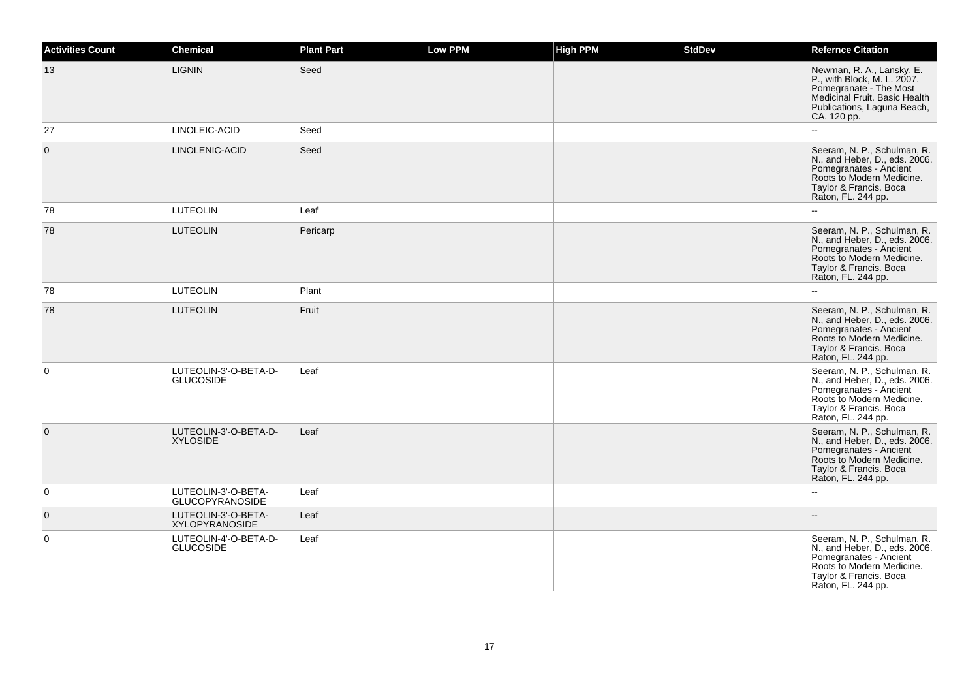| <b>Activities Count</b> | <b>Chemical</b>                               | <b>Plant Part</b> | Low PPM | <b>High PPM</b> | <b>StdDev</b> | <b>Refernce Citation</b>                                                                                                                                            |
|-------------------------|-----------------------------------------------|-------------------|---------|-----------------|---------------|---------------------------------------------------------------------------------------------------------------------------------------------------------------------|
| 13                      | <b>LIGNIN</b>                                 | Seed              |         |                 |               | Newman, R. A., Lansky, E.<br>P., with Block, M. L. 2007.<br>Pomegranate - The Most<br>Medicinal Fruit. Basic Health<br>Publications, Laguna Beach,<br>CA. 120 pp.   |
| 27                      | LINOLEIC-ACID                                 | Seed              |         |                 |               | ÷.                                                                                                                                                                  |
| $\Omega$                | LINOLENIC-ACID                                | Seed              |         |                 |               | Seeram, N. P., Schulman, R.<br>N., and Heber, D., eds. 2006.<br>Pomegranates - Ancient<br>Roots to Modern Medicine.<br>Taylor & Francis. Boca<br>Raton, FL. 244 pp. |
| 78                      | <b>LUTEOLIN</b>                               | Leaf              |         |                 |               |                                                                                                                                                                     |
| 78                      | <b>LUTEOLIN</b>                               | Pericarp          |         |                 |               | Seeram, N. P., Schulman, R.<br>N., and Heber, D., eds. 2006.<br>Pomegranates - Ancient<br>Roots to Modern Medicine.<br>Taylor & Francis. Boca<br>Raton, FL. 244 pp. |
| 78                      | <b>LUTEOLIN</b>                               | Plant             |         |                 |               | $\overline{a}$                                                                                                                                                      |
| 78                      | <b>LUTEOLIN</b>                               | Fruit             |         |                 |               | Seeram, N. P., Schulman, R.<br>N., and Heber, D., eds. 2006.<br>Pomegranates - Ancient<br>Roots to Modern Medicine.<br>Taylor & Francis. Boca<br>Raton, FL. 244 pp. |
| $\mathbf 0$             | LUTEOLIN-3'-O-BETA-D-<br><b>GLUCOSIDE</b>     | Leaf              |         |                 |               | Seeram, N. P., Schulman, R.<br>N., and Heber, D., eds. 2006.<br>Pomegranates - Ancient<br>Roots to Modern Medicine.<br>Taylor & Francis. Boca<br>Raton, FL. 244 pp. |
| $\mathbf{0}$            | LUTEOLIN-3'-O-BETA-D-<br><b>XYLOSIDE</b>      | Leaf              |         |                 |               | Seeram, N. P., Schulman, R.<br>N., and Heber, D., eds. 2006.<br>Pomegranates - Ancient<br>Roots to Modern Medicine.<br>Taylor & Francis. Boca<br>Raton, FL. 244 pp. |
| $\mathbf 0$             | LUTEOLIN-3'-O-BETA-<br><b>GLUCOPYRANOSIDE</b> | Leaf              |         |                 |               |                                                                                                                                                                     |
| $\mathbf{0}$            | LUTEOLIN-3'-O-BETA-<br><b>XYLOPYRANOSIDE</b>  | Leaf              |         |                 |               | $\overline{a}$                                                                                                                                                      |
| 0                       | LUTEOLIN-4'-O-BETA-D-<br><b>GLUCOSIDE</b>     | Leaf              |         |                 |               | Seeram, N. P., Schulman, R.<br>N., and Heber, D., eds. 2006.<br>Pomegranates - Ancient<br>Roots to Modern Medicine.<br>Taylor & Francis. Boca<br>Raton, FL. 244 pp. |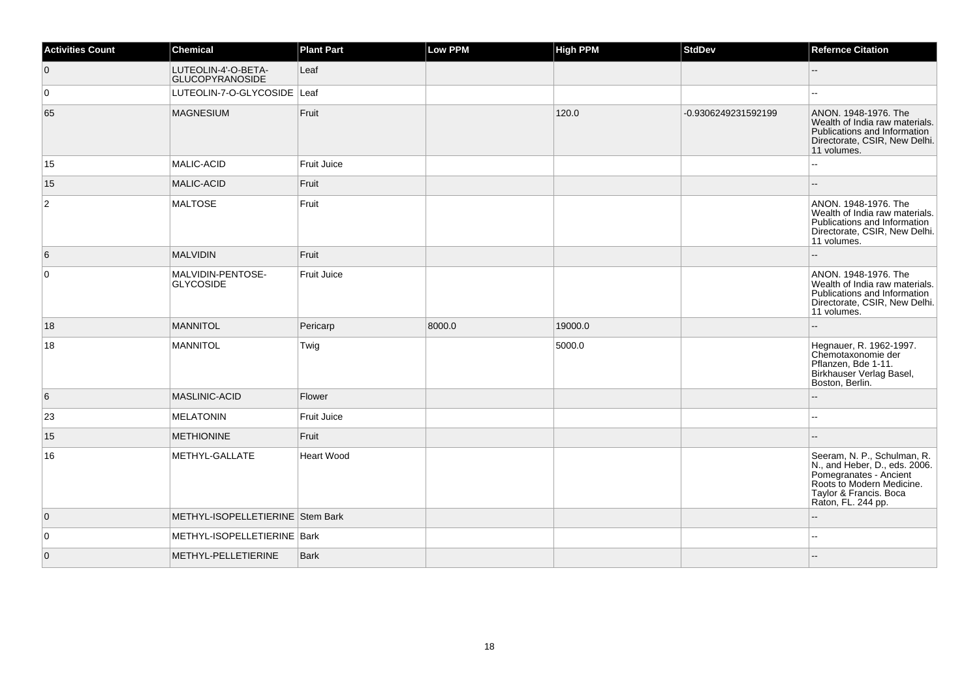| <b>Activities Count</b> | <b>Chemical</b>                               | <b>Plant Part</b>  | <b>Low PPM</b> | <b>High PPM</b> | <b>StdDev</b>       | <b>Refernce Citation</b>                                                                                                                                            |
|-------------------------|-----------------------------------------------|--------------------|----------------|-----------------|---------------------|---------------------------------------------------------------------------------------------------------------------------------------------------------------------|
| $\overline{0}$          | LUTEOLIN-4'-O-BETA-<br><b>GLUCOPYRANOSIDE</b> | Leaf               |                |                 |                     | $-$                                                                                                                                                                 |
| $\overline{0}$          | LUTEOLIN-7-O-GLYCOSIDE Leaf                   |                    |                |                 |                     |                                                                                                                                                                     |
| 65                      | <b>MAGNESIUM</b>                              | Fruit              |                | 120.0           | -0.9306249231592199 | ANON. 1948-1976. The<br>Wealth of India raw materials.<br>Publications and Information<br>Directorate, CSIR, New Delhi.<br>11 volumes.                              |
| 15                      | MALIC-ACID                                    | Fruit Juice        |                |                 |                     |                                                                                                                                                                     |
| 15                      | <b>MALIC-ACID</b>                             | Fruit              |                |                 |                     |                                                                                                                                                                     |
| $\overline{2}$          | <b>MALTOSE</b>                                | Fruit              |                |                 |                     | ANON. 1948-1976. The<br>Wealth of India raw materials.<br>Publications and Information<br>Directorate, CSIR, New Delhi.<br>11 volumes.                              |
| 6                       | <b>MALVIDIN</b>                               | Fruit              |                |                 |                     |                                                                                                                                                                     |
| $\overline{0}$          | MALVIDIN-PENTOSE-<br><b>GLYCOSIDE</b>         | <b>Fruit Juice</b> |                |                 |                     | ANON. 1948-1976. The<br>Wealth of India raw materials.<br>Publications and Information<br>Directorate, CSIR, New Delhi.<br>11 volumes.                              |
| 18                      | <b>MANNITOL</b>                               | Pericarp           | 8000.0         | 19000.0         |                     |                                                                                                                                                                     |
| 18                      | MANNITOL                                      | Twig               |                | 5000.0          |                     | Hegnauer, R. 1962-1997.<br>Chemotaxonomie der<br>Pflanzen, Bde 1-11.<br>Birkhauser Verlag Basel,<br>Boston, Berlin.                                                 |
| 6                       | <b>MASLINIC-ACID</b>                          | Flower             |                |                 |                     |                                                                                                                                                                     |
| 23                      | <b>MELATONIN</b>                              | Fruit Juice        |                |                 |                     | $\overline{\phantom{a}}$                                                                                                                                            |
| 15                      | <b>METHIONINE</b>                             | Fruit              |                |                 |                     |                                                                                                                                                                     |
| 16                      | METHYL-GALLATE                                | <b>Heart Wood</b>  |                |                 |                     | Seeram, N. P., Schulman, R.<br>N., and Heber, D., eds. 2006.<br>Pomegranates - Ancient<br>Roots to Modern Medicine.<br>Taylor & Francis. Boca<br>Raton, FL. 244 pp. |
| $\overline{0}$          | METHYL-ISOPELLETIERINE Stem Bark              |                    |                |                 |                     |                                                                                                                                                                     |
| $\overline{0}$          | METHYL-ISOPELLETIERINE Bark                   |                    |                |                 |                     | $-$                                                                                                                                                                 |
| $\overline{0}$          | METHYL-PELLETIERINE                           | <b>Bark</b>        |                |                 |                     |                                                                                                                                                                     |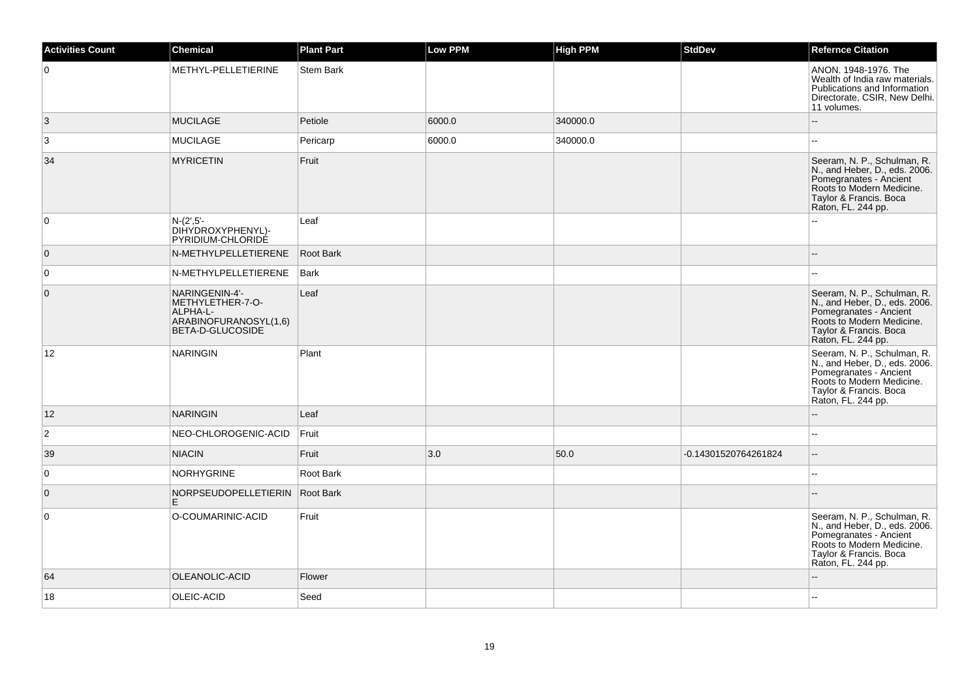| <b>Activities Count</b> | <b>Chemical</b>                                                                             | <b>Plant Part</b> | Low PPM | <b>High PPM</b> | <b>StdDev</b>        | <b>Refernce Citation</b>                                                                                                                                            |
|-------------------------|---------------------------------------------------------------------------------------------|-------------------|---------|-----------------|----------------------|---------------------------------------------------------------------------------------------------------------------------------------------------------------------|
| $\overline{0}$          | METHYL-PELLETIERINE                                                                         | <b>Stem Bark</b>  |         |                 |                      | ANON, 1948-1976. The<br>Wealth of India raw materials.<br>Publications and Information<br>Directorate, CSIR, New Delhi.<br>11 volumes.                              |
| 3                       | <b>MUCILAGE</b>                                                                             | Petiole           | 6000.0  | 340000.0        |                      | --                                                                                                                                                                  |
| $\mathbf{3}$            | <b>MUCILAGE</b>                                                                             | Pericarp          | 6000.0  | 340000.0        |                      |                                                                                                                                                                     |
| 34                      | <b>MYRICETIN</b>                                                                            | Fruit             |         |                 |                      | Seeram, N. P., Schulman, R.<br>N., and Heber, D., eds. 2006.<br>Pomegranates - Ancient<br>Roots to Modern Medicine.<br>Taylor & Francis. Boca<br>Raton, FL. 244 pp. |
| $\overline{0}$          | $N-(2',5'-$<br>DIHYDROXYPHENYL)-<br>PYRIDIUM-CHLORIDÉ                                       | Leaf              |         |                 |                      |                                                                                                                                                                     |
| $\overline{0}$          | N-METHYLPELLETIERENE                                                                        | Root Bark         |         |                 |                      | --                                                                                                                                                                  |
| $\overline{0}$          | N-METHYLPELLETIERENE                                                                        | <b>Bark</b>       |         |                 |                      |                                                                                                                                                                     |
| $\overline{0}$          | NARINGENIN-4'-<br>METHYLETHER-7-O-<br>ALPHA-L-<br>ARABINOFURANOSYL(1,6)<br>BETA-D-GLUCOSIDE | Leaf              |         |                 |                      | Seeram, N. P., Schulman, R.<br>N., and Heber, D., eds. 2006.<br>Pomegranates - Ancient<br>Roots to Modern Medicine.<br>Taylor & Francis. Boca<br>Raton, FL. 244 pp. |
| 12                      | <b>NARINGIN</b>                                                                             | Plant             |         |                 |                      | Seeram, N. P., Schulman, R.<br>N., and Heber, D., eds. 2006.<br>Pomegranates - Ancient<br>Roots to Modern Medicine.<br>Taylor & Francis. Boca<br>Raton, FL. 244 pp. |
| 12                      | <b>NARINGIN</b>                                                                             | Leaf              |         |                 |                      |                                                                                                                                                                     |
| $\overline{2}$          | NEO-CHLOROGENIC-ACID                                                                        | Fruit             |         |                 |                      | $\overline{a}$                                                                                                                                                      |
| 39                      | <b>NIACIN</b>                                                                               | Fruit             | 3.0     | 50.0            | -0.14301520764261824 | $\qquad \qquad -$                                                                                                                                                   |
| $\overline{0}$          | <b>NORHYGRINE</b>                                                                           | Root Bark         |         |                 |                      | $\sim$                                                                                                                                                              |
| $\overline{0}$          | NORPSEUDOPELLETIERIN<br>E.                                                                  | Root Bark         |         |                 |                      |                                                                                                                                                                     |
| $\overline{0}$          | O-COUMARINIC-ACID                                                                           | Fruit             |         |                 |                      | Seeram, N. P., Schulman, R.<br>N., and Heber, D., eds. 2006.<br>Pomegranates - Ancient<br>Roots to Modern Medicine.<br>Taylor & Francis. Boca<br>Raton, FL. 244 pp. |
| 64                      | OLEANOLIC-ACID                                                                              | Flower            |         |                 |                      |                                                                                                                                                                     |
| 18                      | OLEIC-ACID                                                                                  | Seed              |         |                 |                      |                                                                                                                                                                     |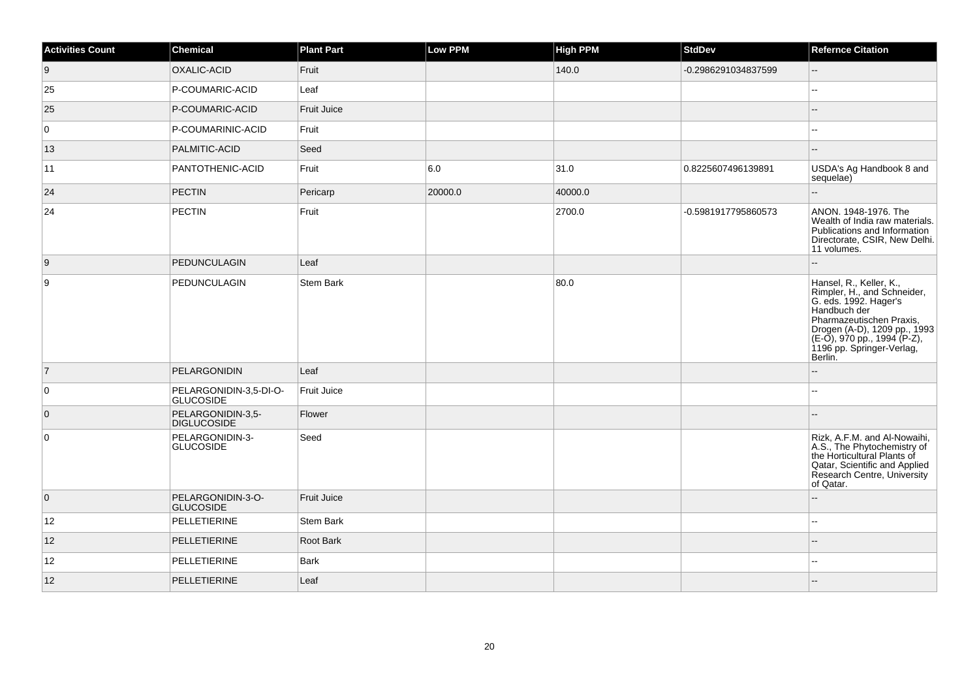| <b>Activities Count</b> | <b>Chemical</b>                            | <b>Plant Part</b> | Low PPM | <b>High PPM</b> | <b>StdDev</b>       | <b>Refernce Citation</b>                                                                                                                                                                                                           |
|-------------------------|--------------------------------------------|-------------------|---------|-----------------|---------------------|------------------------------------------------------------------------------------------------------------------------------------------------------------------------------------------------------------------------------------|
| 9                       | OXALIC-ACID                                | Fruit             |         | 140.0           | -0.2986291034837599 | $-$                                                                                                                                                                                                                                |
| 25                      | P-COUMARIC-ACID                            | Leaf              |         |                 |                     |                                                                                                                                                                                                                                    |
| 25                      | P-COUMARIC-ACID                            | Fruit Juice       |         |                 |                     |                                                                                                                                                                                                                                    |
| 0                       | P-COUMARINIC-ACID                          | Fruit             |         |                 |                     |                                                                                                                                                                                                                                    |
| 13                      | PALMITIC-ACID                              | Seed              |         |                 |                     |                                                                                                                                                                                                                                    |
| 11                      | PANTOTHENIC-ACID                           | Fruit             | 6.0     | 31.0            | 0.8225607496139891  | USDA's Ag Handbook 8 and<br>sequelae)                                                                                                                                                                                              |
| 24                      | <b>PECTIN</b>                              | Pericarp          | 20000.0 | 40000.0         |                     |                                                                                                                                                                                                                                    |
| 24                      | PECTIN                                     | Fruit             |         | 2700.0          | -0.5981917795860573 | ANON. 1948-1976. The<br>Wealth of India raw materials.<br>Publications and Information<br>Directorate, CSIR, New Delhi.<br>11 volumes.                                                                                             |
| 9                       | <b>PEDUNCULAGIN</b>                        | Leaf              |         |                 |                     |                                                                                                                                                                                                                                    |
| 9                       | PEDUNCULAGIN                               | <b>Stem Bark</b>  |         | 80.0            |                     | Hansel, R., Keller, K.,<br>Rimpler, H., and Schneider,<br>G. eds. 1992. Hager's<br>Handbuch der<br>Pharmazeutischen Praxis,<br>Drogen (A-D), 1209 pp., 1993<br>(E-O), 970 pp., 1994 (P-Z),<br>1196 pp. Springer-Verlag,<br>Berlin. |
| $\overline{7}$          | PELARGONIDIN                               | Leaf              |         |                 |                     |                                                                                                                                                                                                                                    |
| $\overline{0}$          | PELARGONIDIN-3,5-DI-O-<br><b>GLUCOSIDE</b> | Fruit Juice       |         |                 |                     |                                                                                                                                                                                                                                    |
| $\overline{0}$          | PELARGONIDIN-3,5-<br><b>DIGLUCOSIDE</b>    | Flower            |         |                 |                     |                                                                                                                                                                                                                                    |
| $\overline{0}$          | PELARGONIDIN-3-<br><b>GLUCOSIDE</b>        | Seed              |         |                 |                     | Rizk, A.F.M. and Al-Nowaihi,<br>A.S., The Phytochemistry of<br>the Horticultural Plants of<br>Qatar, Scientific and Applied<br>Research Centre, University<br>of Qatar.                                                            |
| $\overline{0}$          | PELARGONIDIN-3-O-<br><b>GLUCOSIDE</b>      | Fruit Juice       |         |                 |                     |                                                                                                                                                                                                                                    |
| 12                      | PELLETIERINE                               | Stem Bark         |         |                 |                     |                                                                                                                                                                                                                                    |
| 12                      | PELLETIERINE                               | Root Bark         |         |                 |                     |                                                                                                                                                                                                                                    |
| 12                      | PELLETIERINE                               | <b>Bark</b>       |         |                 |                     |                                                                                                                                                                                                                                    |
| 12                      | PELLETIERINE                               | Leaf              |         |                 |                     |                                                                                                                                                                                                                                    |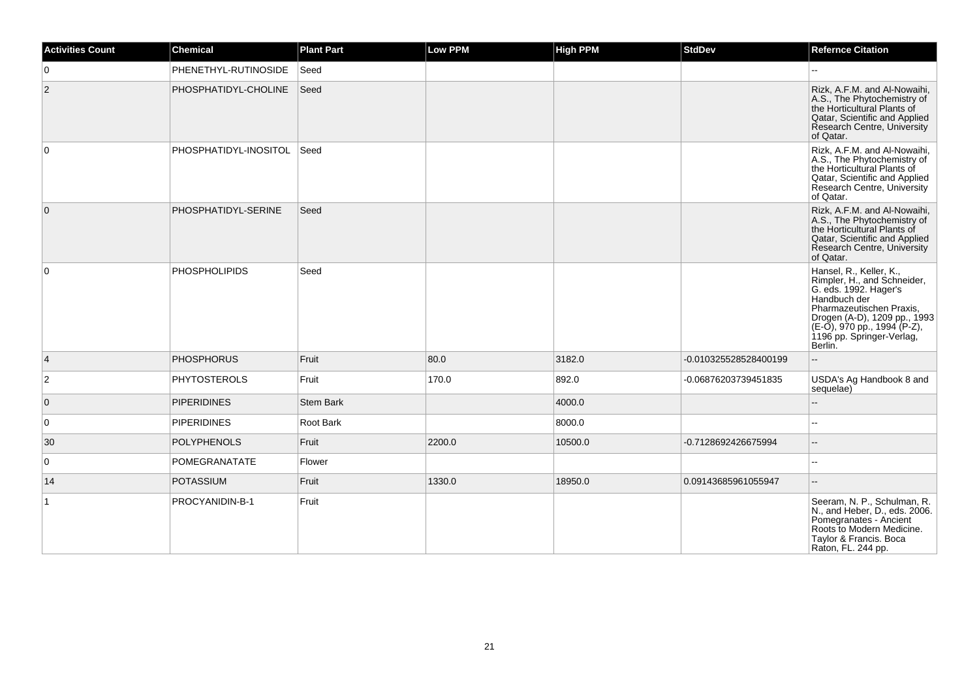| Activities Count | <b>Chemical</b>            | <b>Plant Part</b> | Low PPM | <b>High PPM</b> | <b>StdDev</b>         | <b>Refernce Citation</b>                                                                                                                                                                                                           |
|------------------|----------------------------|-------------------|---------|-----------------|-----------------------|------------------------------------------------------------------------------------------------------------------------------------------------------------------------------------------------------------------------------------|
| $\mathbf 0$      | PHENETHYL-RUTINOSIDE       | Seed              |         |                 |                       |                                                                                                                                                                                                                                    |
| $\overline{2}$   | PHOSPHATIDYL-CHOLINE       | Seed              |         |                 |                       | Rizk, A.F.M. and Al-Nowaihi,<br>A.S., The Phytochemistry of<br>the Horticultural Plants of<br>Qatar, Scientific and Applied<br>Research Centre, University<br>of Qatar.                                                            |
| $\mathbf 0$      | PHOSPHATIDYL-INOSITOL Seed |                   |         |                 |                       | Rizk, A.F.M. and Al-Nowaihi,<br>A.S., The Phytochemistry of<br>the Horticultural Plants of<br>Qatar, Scientific and Applied<br>Research Centre, University<br>of Qatar.                                                            |
| $\mathbf 0$      | PHOSPHATIDYL-SERINE        | Seed              |         |                 |                       | Rizk, A.F.M. and Al-Nowaihi,<br>A.S., The Phytochemistry of<br>the Horticultural Plants of<br>Qatar, Scientific and Applied<br>Research Centre, University<br>of Qatar.                                                            |
| $\mathbf 0$      | <b>PHOSPHOLIPIDS</b>       | Seed              |         |                 |                       | Hansel, R., Keller, K.,<br>Rimpler, H., and Schneider,<br>G. eds. 1992. Hager's<br>Handbuch der<br>Pharmazeutischen Praxis,<br>Drogen (A-D), 1209 pp., 1993<br>(E-O), 970 pp., 1994 (P-Z),<br>1196 pp. Springer-Verlag,<br>Berlin. |
| 4                | <b>PHOSPHORUS</b>          | Fruit             | 80.0    | 3182.0          | -0.010325528528400199 |                                                                                                                                                                                                                                    |
| 2                | <b>PHYTOSTEROLS</b>        | Fruit             | 170.0   | 892.0           | -0.06876203739451835  | USDA's Ag Handbook 8 and<br>sequelae)                                                                                                                                                                                              |
| $\mathbf 0$      | <b>PIPERIDINES</b>         | <b>Stem Bark</b>  |         | 4000.0          |                       |                                                                                                                                                                                                                                    |
| 0                | <b>PIPERIDINES</b>         | Root Bark         |         | 8000.0          |                       |                                                                                                                                                                                                                                    |
| 30               | <b>POLYPHENOLS</b>         | Fruit             | 2200.0  | 10500.0         | -0.7128692426675994   | ÷.                                                                                                                                                                                                                                 |
| $\mathbf 0$      | POMEGRANATATE              | Flower            |         |                 |                       | $\overline{a}$                                                                                                                                                                                                                     |
| 14               | <b>POTASSIUM</b>           | Fruit             | 1330.0  | 18950.0         | 0.09143685961055947   | $\overline{\phantom{a}}$                                                                                                                                                                                                           |
| $\mathbf{1}$     | PROCYANIDIN-B-1            | Fruit             |         |                 |                       | Seeram, N. P., Schulman, R.<br>N., and Heber, D., eds. 2006.<br>Pomegranates - Ancient<br>Roots to Modern Medicine.<br>Taylor & Francis. Boca<br>Raton, FL. 244 pp.                                                                |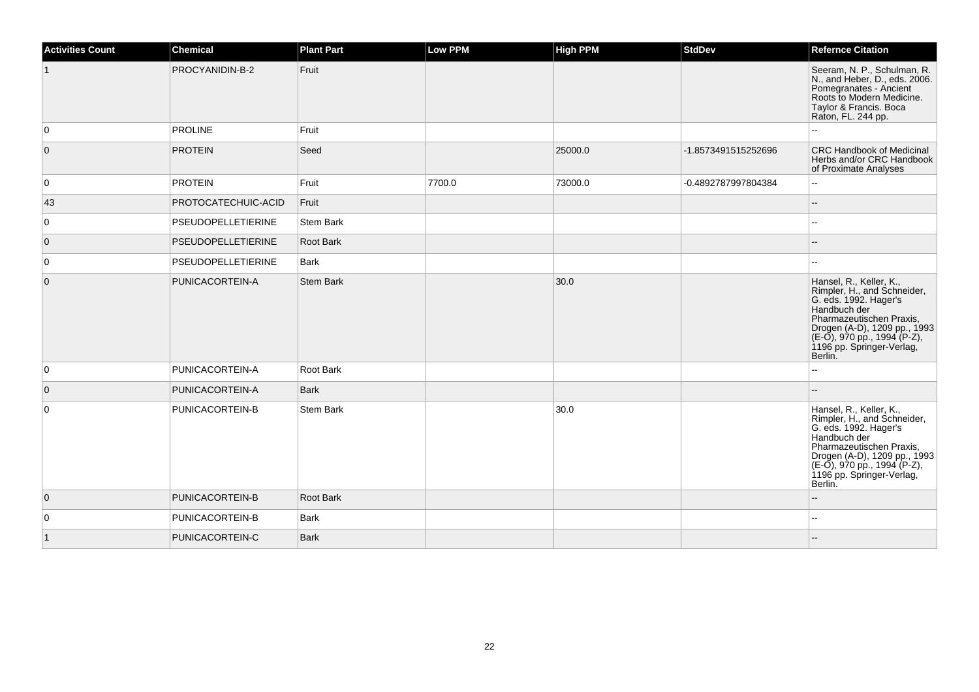| <b>Activities Count</b> | <b>Chemical</b>     | <b>Plant Part</b> | Low PPM | <b>High PPM</b> | <b>StdDev</b>       | <b>Refernce Citation</b>                                                                                                                                                                                                           |
|-------------------------|---------------------|-------------------|---------|-----------------|---------------------|------------------------------------------------------------------------------------------------------------------------------------------------------------------------------------------------------------------------------------|
|                         | PROCYANIDIN-B-2     | Fruit             |         |                 |                     | Seeram, N. P., Schulman, R.<br>N., and Heber, D., eds. 2006.<br>Pomegranates - Ancient<br>Roots to Modern Medicine.<br>Taylor & Francis. Boca<br>Raton, FL. 244 pp.                                                                |
| $\overline{0}$          | <b>PROLINE</b>      | Fruit             |         |                 |                     |                                                                                                                                                                                                                                    |
| $\overline{0}$          | <b>PROTEIN</b>      | Seed              |         | 25000.0         | -1.8573491515252696 | <b>CRC Handbook of Medicinal</b><br>Herbs and/or CRC Handbook<br>of Proximate Analyses                                                                                                                                             |
| $\overline{0}$          | <b>PROTEIN</b>      | Fruit             | 7700.0  | 73000.0         | -0.4892787997804384 | ۵.                                                                                                                                                                                                                                 |
| 43                      | PROTOCATECHUIC-ACID | Fruit             |         |                 |                     | $-$                                                                                                                                                                                                                                |
| $\overline{0}$          | PSEUDOPELLETIERINE  | <b>Stem Bark</b>  |         |                 |                     | --                                                                                                                                                                                                                                 |
| $\overline{0}$          | PSEUDOPELLETIERINE  | <b>Root Bark</b>  |         |                 |                     |                                                                                                                                                                                                                                    |
| $\overline{0}$          | PSEUDOPELLETIERINE  | Bark              |         |                 |                     |                                                                                                                                                                                                                                    |
| $\overline{0}$          | PUNICACORTEIN-A     | <b>Stem Bark</b>  |         | 30.0            |                     | Hansel, R., Keller, K.,<br>Rimpler, H., and Schneider,<br>G. eds. 1992. Hager's<br>Handbuch der<br>Pharmazeutischen Praxis,<br>Drogen (A-D), 1209 pp., 1993<br>(E-O), 970 pp., 1994 (P-Z),<br>1196 pp. Springer-Verlag,<br>Berlin. |
| $\overline{0}$          | PUNICACORTEIN-A     | Root Bark         |         |                 |                     | ۵.                                                                                                                                                                                                                                 |
| $\overline{0}$          | PUNICACORTEIN-A     | <b>Bark</b>       |         |                 |                     |                                                                                                                                                                                                                                    |
| $\overline{0}$          | PUNICACORTEIN-B     | <b>Stem Bark</b>  |         | 30.0            |                     | Hansel, R., Keller, K.,<br>Rimpler, H., and Schneider,<br>G. eds. 1992. Hager's<br>Handbuch der<br>Pharmazeutischen Praxis,<br>Drogen (A-D), 1209 pp., 1993<br>(E-O), 970 pp., 1994 (P-Z),<br>1196 pp. Springer-Verlag,<br>Berlin. |
| $\overline{0}$          | PUNICACORTEIN-B     | <b>Root Bark</b>  |         |                 |                     |                                                                                                                                                                                                                                    |
| $\overline{0}$          | PUNICACORTEIN-B     | <b>Bark</b>       |         |                 |                     | --                                                                                                                                                                                                                                 |
| $\vert$ 1               | PUNICACORTEIN-C     | <b>Bark</b>       |         |                 |                     |                                                                                                                                                                                                                                    |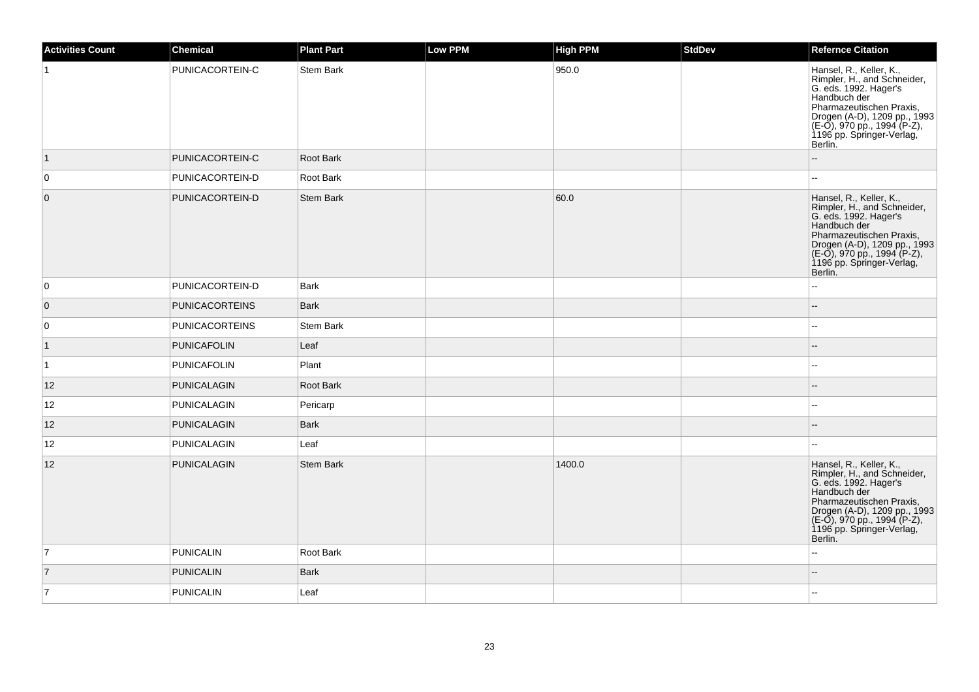| <b>Activities Count</b> | Chemical              | <b>Plant Part</b> | <b>Low PPM</b> | <b>High PPM</b> | <b>StdDev</b> | <b>Refernce Citation</b>                                                                                                                                                                                                           |
|-------------------------|-----------------------|-------------------|----------------|-----------------|---------------|------------------------------------------------------------------------------------------------------------------------------------------------------------------------------------------------------------------------------------|
| -1                      | PUNICACORTEIN-C       | Stem Bark         |                | 950.0           |               | Hansel, R., Keller, K.,<br>Rimpler, H., and Schneider,<br>G. eds. 1992. Hager's<br>Handbuch der<br>Pharmazeutischen Praxis,<br>Drogen (A-D), 1209 pp., 1993<br>(E-O), 970 pp., 1994 (P-Z),<br>1196 pp. Springer-Verlag,<br>Berlin. |
| $\vert$ 1               | PUNICACORTEIN-C       | Root Bark         |                |                 |               |                                                                                                                                                                                                                                    |
| $\overline{0}$          | PUNICACORTEIN-D       | Root Bark         |                |                 |               | $\overline{a}$                                                                                                                                                                                                                     |
| $\overline{0}$          | PUNICACORTEIN-D       | <b>Stem Bark</b>  |                | 60.0            |               | Hansel, R., Keller, K.,<br>Rimpler, H., and Schneider,<br>G. eds. 1992. Hager's<br>Handbuch der<br>Pharmazeutischen Praxis,<br>Drogen (A-D), 1209 pp., 1993<br>(E-O), 970 pp., 1994 (P-Z),<br>1196 pp. Springer-Verlag,<br>Berlin. |
| $\overline{0}$          | PUNICACORTEIN-D       | <b>Bark</b>       |                |                 |               | $\overline{a}$                                                                                                                                                                                                                     |
| $\overline{0}$          | <b>PUNICACORTEINS</b> | <b>Bark</b>       |                |                 |               |                                                                                                                                                                                                                                    |
| $\overline{0}$          | <b>PUNICACORTEINS</b> | Stem Bark         |                |                 |               | $\overline{a}$                                                                                                                                                                                                                     |
| $\vert$ 1               | <b>PUNICAFOLIN</b>    | Leaf              |                |                 |               | $-$                                                                                                                                                                                                                                |
| $\vert$ 1               | <b>PUNICAFOLIN</b>    | Plant             |                |                 |               |                                                                                                                                                                                                                                    |
| 12                      | PUNICALAGIN           | Root Bark         |                |                 |               | $-$                                                                                                                                                                                                                                |
| 12                      | PUNICALAGIN           | Pericarp          |                |                 |               | $-$                                                                                                                                                                                                                                |
| 12                      | PUNICALAGIN           | <b>Bark</b>       |                |                 |               | $\sim$                                                                                                                                                                                                                             |
| 12                      | PUNICALAGIN           | Leaf              |                |                 |               |                                                                                                                                                                                                                                    |
| 12                      | <b>PUNICALAGIN</b>    | <b>Stem Bark</b>  |                | 1400.0          |               | Hansel, R., Keller, K.,<br>Rimpler, H., and Schneider,<br>G. eds. 1992. Hager's<br>Handbuch der<br>Pharmazeutischen Praxis,<br>Drogen (A-D), 1209 pp., 1993<br>(E-O), 970 pp., 1994 (P-Z),<br>1196 pp. Springer-Verlag,<br>Berlin. |
| $\overline{7}$          | <b>PUNICALIN</b>      | Root Bark         |                |                 |               | $\overline{a}$                                                                                                                                                                                                                     |
| $\vert$ 7               | <b>PUNICALIN</b>      | Bark              |                |                 |               |                                                                                                                                                                                                                                    |
| 17                      | PUNICALIN             | Leaf              |                |                 |               |                                                                                                                                                                                                                                    |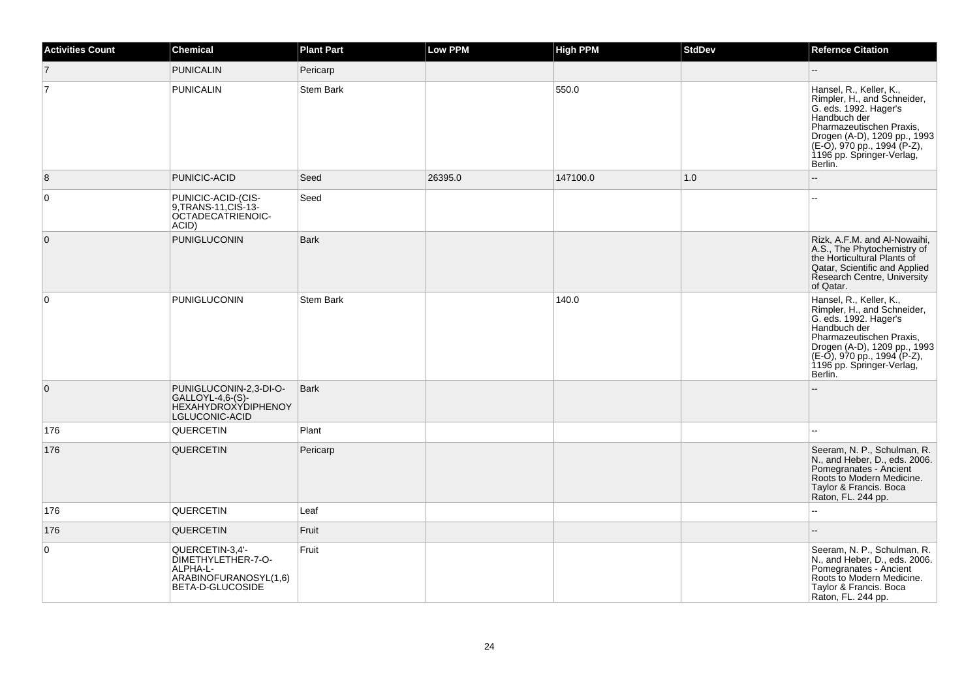| Activities Count | <b>Chemical</b>                                                                                | <b>Plant Part</b> | Low PPM | <b>High PPM</b> | <b>StdDev</b> | <b>Refernce Citation</b>                                                                                                                                                                                                              |
|------------------|------------------------------------------------------------------------------------------------|-------------------|---------|-----------------|---------------|---------------------------------------------------------------------------------------------------------------------------------------------------------------------------------------------------------------------------------------|
| $\overline{7}$   | <b>PUNICALIN</b>                                                                               | Pericarp          |         |                 |               |                                                                                                                                                                                                                                       |
| $\overline{7}$   | <b>PUNICALIN</b>                                                                               | Stem Bark         |         | 550.0           |               | Hansel, R., Keller, K.,<br>Rimpler, H., and Schneider,<br>G. eds. 1992. Hager's<br>Handbuch der<br>Pharmazeutischen Praxis,<br>Drogen (A-D), 1209 pp., 1993<br>(E-O), 970 pp., 1994 (P-Z),<br>1196 pp. Springer-Verlag,<br>Berlin.    |
| 8                | PUNICIC-ACID                                                                                   | Seed              | 26395.0 | 147100.0        | 1.0           |                                                                                                                                                                                                                                       |
| $\mathbf 0$      | PUNICIC-ACID-(CIS-<br>9, TRANS-11, CIS-13-<br>OCTADECATRIENOIC-<br>ACID)                       | Seed              |         |                 |               |                                                                                                                                                                                                                                       |
| $\mathbf 0$      | PUNIGLUCONIN                                                                                   | <b>Bark</b>       |         |                 |               | Rizk, A.F.M. and Al-Nowaihi,<br>A.S., The Phytochemistry of<br>the Horticultural Plants of<br>Qatar, Scientific and Applied<br>Research Centre, University<br>of Qatar.                                                               |
| $\mathbf 0$      | <b>PUNIGLUCONIN</b>                                                                            | <b>Stem Bark</b>  |         | 140.0           |               | Hansel, R., Keller, K.,<br>Rimpler, H., and Schneider,<br>G. eds. 1992. Hager's<br>Handbuch der<br>Pharmazeutischen Praxis,<br>Drogen (A-D), 1209 pp., 1993<br>$(E-O)$ , 970 pp., 1994 (P-Z),<br>1196 pp. Springer-Verlag,<br>Berlin. |
| $\mathbf 0$      | PUNIGLUCONIN-2,3-DI-O-<br>$GALLOYL-4,6-(S)-$<br><b>HEXAHYDROXYDIPHENOY</b><br>LGLUCONIC-ACID   | <b>Bark</b>       |         |                 |               |                                                                                                                                                                                                                                       |
| 176              | QUERCETIN                                                                                      | Plant             |         |                 |               |                                                                                                                                                                                                                                       |
| 176              | <b>QUERCETIN</b>                                                                               | Pericarp          |         |                 |               | Seeram, N. P., Schulman, R.<br>N., and Heber, D., eds. 2006.<br>Pomegranates - Ancient<br>Roots to Modern Medicine.<br>Taylor & Francis. Boca<br>Raton, FL. 244 pp.                                                                   |
| 176              | QUERCETIN                                                                                      | Leaf              |         |                 |               | $\sim$                                                                                                                                                                                                                                |
| 176              | QUERCETIN                                                                                      | Fruit             |         |                 |               | $\overline{\phantom{a}}$                                                                                                                                                                                                              |
| 0                | QUERCETIN-3,4'-<br>DIMETHYLETHER-7-O-<br>ALPHA-L-<br>ARABINOFURANOSYL(1,6)<br>BETA-D-GLUCOSIDE | Fruit             |         |                 |               | Seeram, N. P., Schulman, R.<br>N., and Heber, D., eds. 2006.<br>Pomegranates - Ancient<br>Roots to Modern Medicine.<br>Taylor & Francis. Boca<br>Raton, FL. 244 pp.                                                                   |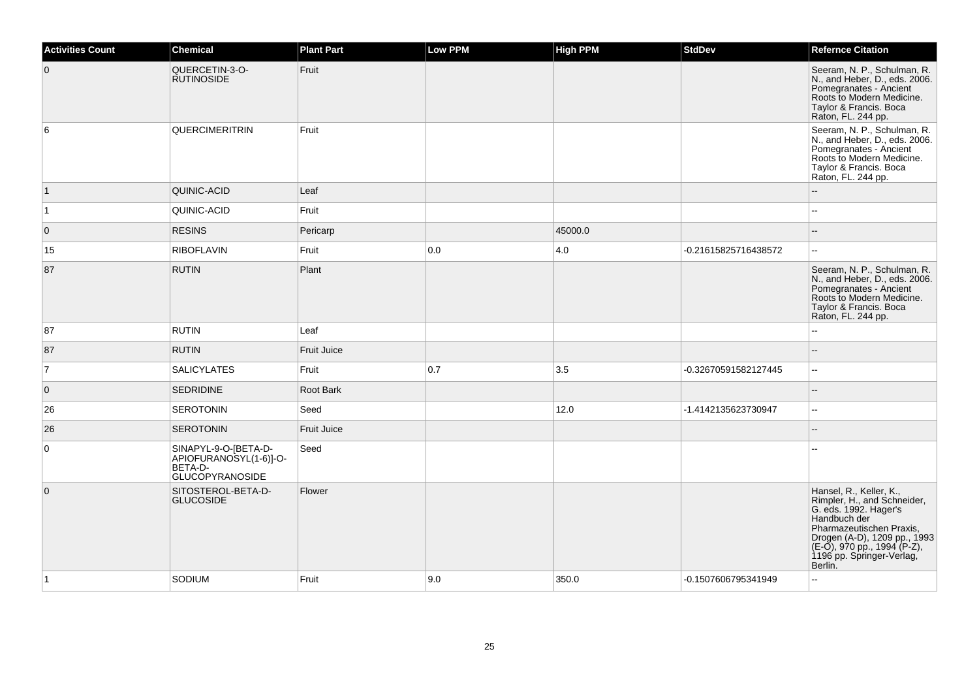| <b>Activities Count</b> | <b>Chemical</b>                                                                     | <b>Plant Part</b>  | <b>Low PPM</b> | <b>High PPM</b> | <b>StdDev</b>        | <b>Refernce Citation</b>                                                                                                                                                                                                           |
|-------------------------|-------------------------------------------------------------------------------------|--------------------|----------------|-----------------|----------------------|------------------------------------------------------------------------------------------------------------------------------------------------------------------------------------------------------------------------------------|
| $\overline{0}$          | QUERCETIN-3-O-<br><b>RUTINOSIDE</b>                                                 | Fruit              |                |                 |                      | Seeram, N. P., Schulman, R.<br>N., and Heber, D., eds. 2006.<br>Pomegranates - Ancient<br>Roots to Modern Medicine.<br>Taylor & Francis. Boca<br>Raton, FL. 244 pp.                                                                |
| 6                       | <b>QUERCIMERITRIN</b>                                                               | Fruit              |                |                 |                      | Seeram, N. P., Schulman, R.<br>N., and Heber, D., eds. 2006.<br>Pomegranates - Ancient<br>Roots to Modern Medicine.<br>Taylor & Francis. Boca<br>Raton, FL. 244 pp.                                                                |
| $\vert$ 1               | QUINIC-ACID                                                                         | Leaf               |                |                 |                      |                                                                                                                                                                                                                                    |
| $\vert$ 1               | QUINIC-ACID                                                                         | Fruit              |                |                 |                      |                                                                                                                                                                                                                                    |
| $\overline{0}$          | <b>RESINS</b>                                                                       | Pericarp           |                | 45000.0         |                      | ۵.                                                                                                                                                                                                                                 |
| 15                      | <b>RIBOFLAVIN</b>                                                                   | Fruit              | 0.0            | 4.0             | -0.21615825716438572 | $\overline{\phantom{a}}$                                                                                                                                                                                                           |
| 87                      | <b>RUTIN</b>                                                                        | Plant              |                |                 |                      | Seeram, N. P., Schulman, R.<br>N., and Heber, D., eds. 2006.<br>Pomegranates - Ancient<br>Roots to Modern Medicine.<br>Taylor & Francis. Boca<br>Raton, FL. 244 pp.                                                                |
| 87                      | <b>RUTIN</b>                                                                        | Leaf               |                |                 |                      |                                                                                                                                                                                                                                    |
| 87                      | <b>RUTIN</b>                                                                        | Fruit Juice        |                |                 |                      |                                                                                                                                                                                                                                    |
| $\overline{7}$          | <b>SALICYLATES</b>                                                                  | Fruit              | 0.7            | 3.5             | -0.32670591582127445 | ÷.                                                                                                                                                                                                                                 |
| $\mathbf 0$             | <b>SEDRIDINE</b>                                                                    | Root Bark          |                |                 |                      |                                                                                                                                                                                                                                    |
| 26                      | <b>SEROTONIN</b>                                                                    | Seed               |                | 12.0            | -1.4142135623730947  | $\sim$                                                                                                                                                                                                                             |
| 26                      | <b>SEROTONIN</b>                                                                    | <b>Fruit Juice</b> |                |                 |                      |                                                                                                                                                                                                                                    |
| 0                       | SINAPYL-9-O-[BETA-D-<br>APIOFURANOSYL(1-6)]-O-<br>BETA-D-<br><b>GLUCOPYRANOSIDE</b> | Seed               |                |                 |                      |                                                                                                                                                                                                                                    |
| $\overline{0}$          | SITOSTEROL-BETA-D-<br><b>GLUCOSIDE</b>                                              | Flower             |                |                 |                      | Hansel, R., Keller, K.,<br>Rimpler, H., and Schneider,<br>G. eds. 1992. Hager's<br>Handbuch der<br>Pharmazeutischen Praxis,<br>Drogen (A-D), 1209 pp., 1993<br>(E-O), 970 pp., 1994 (P-Z),<br>1196 pp. Springer-Verlag,<br>Berlin. |
| ∣1                      | SODIUM                                                                              | Fruit              | 9.0            | 350.0           | -0.1507606795341949  |                                                                                                                                                                                                                                    |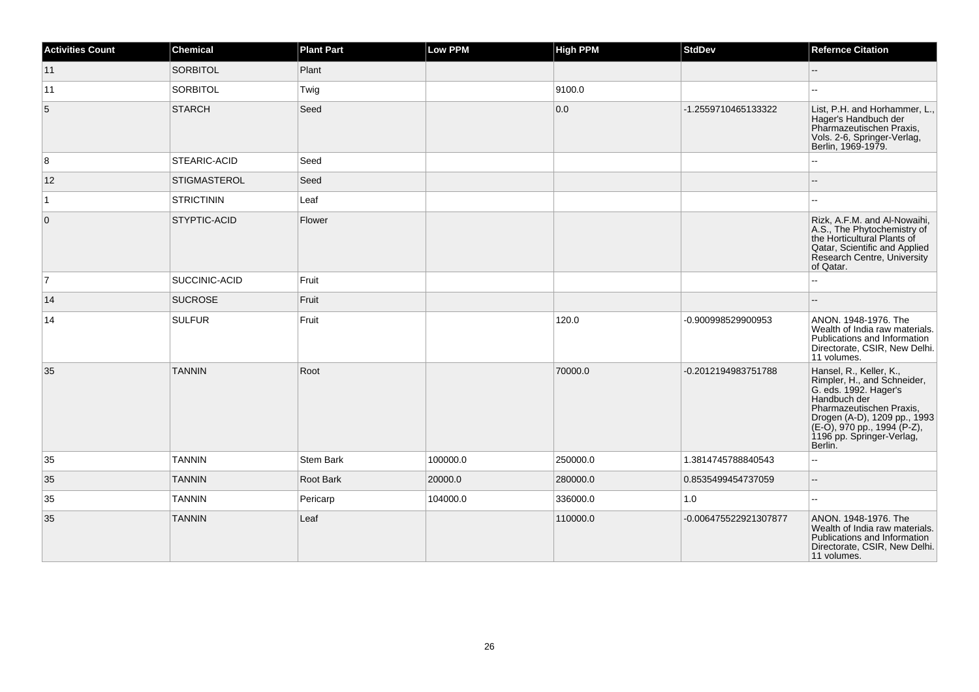| <b>Activities Count</b> | <b>Chemical</b>      | <b>Plant Part</b> | <b>Low PPM</b> | <b>High PPM</b> | <b>StdDev</b>         | <b>Refernce Citation</b>                                                                                                                                                                                                           |
|-------------------------|----------------------|-------------------|----------------|-----------------|-----------------------|------------------------------------------------------------------------------------------------------------------------------------------------------------------------------------------------------------------------------------|
| 11                      | <b>SORBITOL</b>      | Plant             |                |                 |                       | $-$                                                                                                                                                                                                                                |
| 11                      | <b>SORBITOL</b>      | Twig              |                | 9100.0          |                       |                                                                                                                                                                                                                                    |
| $5\phantom{.0}$         | <b>STARCH</b>        | Seed              |                | 0.0             | -1.2559710465133322   | List, P.H. and Horhammer, L.,<br>Hager's Handbuch der<br>Pharmazeutischen Praxis,<br>Vols. 2-6, Springer-Verlag,<br>Berlin, 1969-1979.                                                                                             |
| 8                       | <b>STEARIC-ACID</b>  | Seed              |                |                 |                       |                                                                                                                                                                                                                                    |
| 12                      | <b>STIGMASTEROL</b>  | Seed              |                |                 |                       |                                                                                                                                                                                                                                    |
| $\vert$ 1               | <b>STRICTININ</b>    | Leaf              |                |                 |                       |                                                                                                                                                                                                                                    |
| $\overline{0}$          | <b>STYPTIC-ACID</b>  | Flower            |                |                 |                       | Rizk, A.F.M. and Al-Nowaihi,<br>A.S., The Phytochemistry of<br>the Horticultural Plants of<br>Qatar, Scientific and Applied<br>Research Centre, University<br>of Qatar.                                                            |
| $\overline{7}$          | <b>SUCCINIC-ACID</b> | Fruit             |                |                 |                       |                                                                                                                                                                                                                                    |
| 14                      | <b>SUCROSE</b>       | Fruit             |                |                 |                       |                                                                                                                                                                                                                                    |
| 14                      | <b>SULFUR</b>        | Fruit             |                | 120.0           | -0.900998529900953    | ANON. 1948-1976. The<br>Wealth of India raw materials.<br>Publications and Information<br>Directorate, CSIR, New Delhi.<br>11 volumes.                                                                                             |
| 35                      | <b>TANNIN</b>        | Root              |                | 70000.0         | -0.2012194983751788   | Hansel, R., Keller, K.,<br>Rimpler, H., and Schneider,<br>G. eds. 1992. Hager's<br>Handbuch der<br>Pharmazeutischen Praxis,<br>Progen (A-D), 1209 pp., 1993<br>(E-O), 970 pp., 1994 (P-Z),<br>1196 pp. Springer-Verlag,<br>Berlin. |
| 35                      | <b>TANNIN</b>        | <b>Stem Bark</b>  | 100000.0       | 250000.0        | 1.3814745788840543    | $\overline{\phantom{a}}$                                                                                                                                                                                                           |
| 35                      | <b>TANNIN</b>        | <b>Root Bark</b>  | 20000.0        | 280000.0        | 0.8535499454737059    | $-$                                                                                                                                                                                                                                |
| 35                      | <b>TANNIN</b>        | Pericarp          | 104000.0       | 336000.0        | 1.0                   |                                                                                                                                                                                                                                    |
| 35                      | <b>TANNIN</b>        | Leaf              |                | 110000.0        | -0.006475522921307877 | ANON, 1948-1976, The<br>Wealth of India raw materials.<br>Publications and Information<br>Directorate, CSIR, New Delhi.<br>11 volumes.                                                                                             |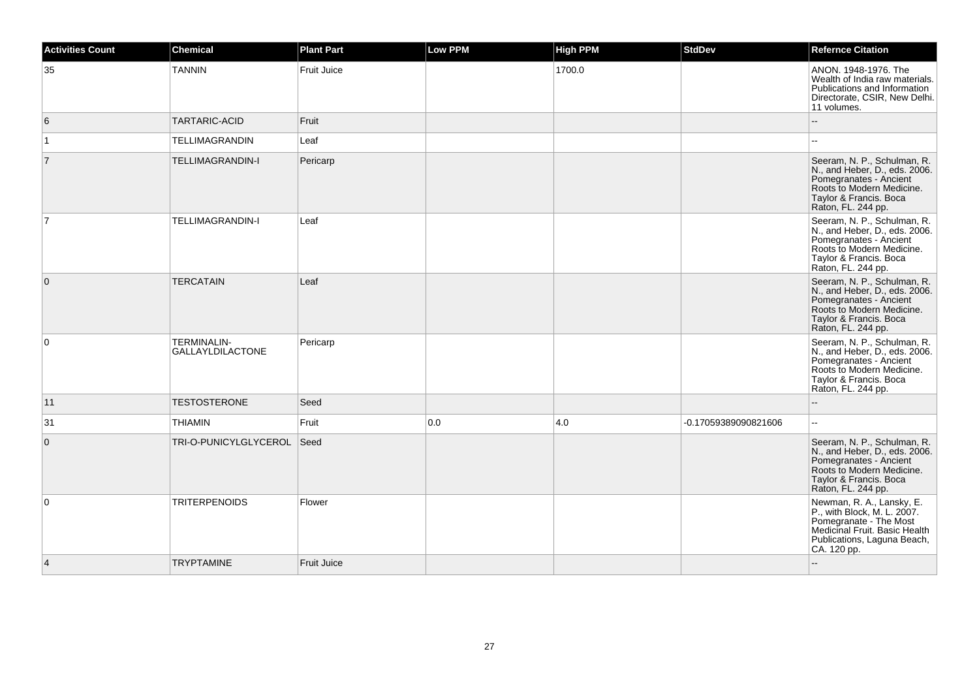| <b>Activities Count</b> | <b>Chemical</b>                               | <b>Plant Part</b>  | <b>Low PPM</b> | <b>High PPM</b> | <b>StdDev</b>        | <b>Refernce Citation</b>                                                                                                                                            |
|-------------------------|-----------------------------------------------|--------------------|----------------|-----------------|----------------------|---------------------------------------------------------------------------------------------------------------------------------------------------------------------|
| 35                      | <b>TANNIN</b>                                 | Fruit Juice        |                | 1700.0          |                      | ANON. 1948-1976. The<br>Wealth of India raw materials.<br>Publications and Information<br>Directorate, CSIR, New Delhi.<br>11 volumes.                              |
| 6                       | <b>TARTARIC-ACID</b>                          | Fruit              |                |                 |                      |                                                                                                                                                                     |
| $\mathbf{1}$            | TELLIMAGRANDIN                                | Leaf               |                |                 |                      | --                                                                                                                                                                  |
| $\overline{7}$          | <b>TELLIMAGRANDIN-I</b>                       | Pericarp           |                |                 |                      | Seeram, N. P., Schulman, R.<br>N., and Heber, D., eds. 2006.<br>Pomegranates - Ancient<br>Roots to Modern Medicine.<br>Tavlor & Francis, Boca<br>Raton, FL. 244 pp. |
| $\overline{7}$          | TELLIMAGRANDIN-I                              | Leaf               |                |                 |                      | Seeram, N. P., Schulman, R.<br>N., and Heber, D., eds. 2006.<br>Pomegranates - Ancient<br>Roots to Modern Medicine.<br>Taylor & Francis. Boca<br>Raton, FL. 244 pp. |
| $\mathbf 0$             | <b>TERCATAIN</b>                              | Leaf               |                |                 |                      | Seeram, N. P., Schulman, R.<br>N., and Heber, D., eds. 2006.<br>Pomegranates - Ancient<br>Roots to Modern Medicine.<br>Taylor & Francis. Boca<br>Raton, FL. 244 pp. |
| $\mathbf 0$             | <b>TERMINALIN-</b><br><b>GALLAYLDILACTONE</b> | Pericarp           |                |                 |                      | Seeram, N. P., Schulman, R.<br>N., and Heber, D., eds. 2006.<br>Pomegranates - Ancient<br>Roots to Modern Medicine.<br>Taylor & Francis. Boca<br>Raton, FL. 244 pp. |
| 11                      | <b>TESTOSTERONE</b>                           | Seed               |                |                 |                      |                                                                                                                                                                     |
| 31                      | <b>THIAMIN</b>                                | Fruit              | 0.0            | 4.0             | -0.17059389090821606 | Ξ.                                                                                                                                                                  |
| $\mathbf{0}$            | TRI-O-PUNICYLGLYCEROL                         | Seed               |                |                 |                      | Seeram, N. P., Schulman, R.<br>N., and Heber, D., eds. 2006.<br>Pomegranates - Ancient<br>Roots to Modern Medicine.<br>Taylor & Francis. Boca<br>Raton, FL. 244 pp. |
| $\mathbf 0$             | <b>TRITERPENOIDS</b>                          | Flower             |                |                 |                      | Newman, R. A., Lansky, E.<br>P., with Block, M. L. 2007.<br>Pomegranate - The Most<br>Medicinal Fruit. Basic Health<br>Publications, Laguna Beach,<br>CA. 120 pp.   |
| $\overline{4}$          | <b>TRYPTAMINE</b>                             | <b>Fruit Juice</b> |                |                 |                      |                                                                                                                                                                     |